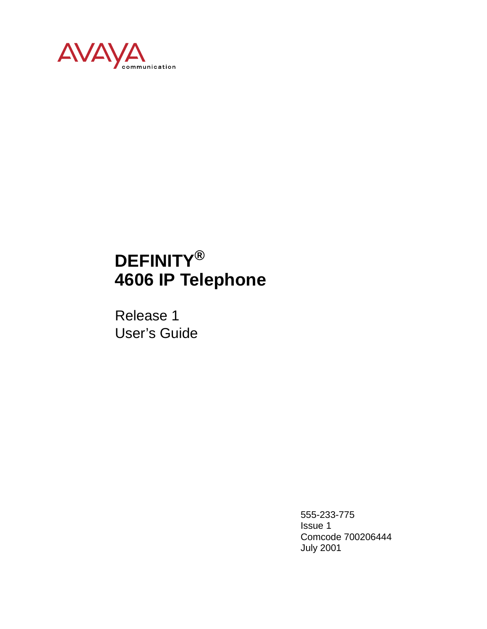

# **DEFINITY® 4606 IP Telephone**

Release 1 User's Guide

> 555-233-775 Issue 1 Comcode 700206444 July 2001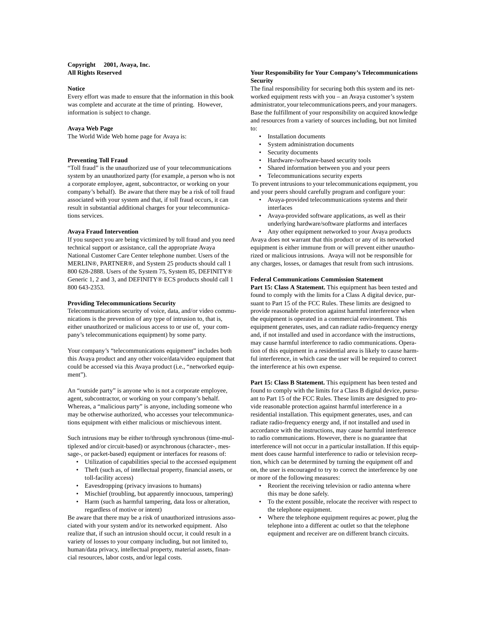### **Copyright 2001, Avaya, Inc. All Rights Reserved**

### **Notice**

Every effort was made to ensure that the information in this book was complete and accurate at the time of printing. However, information is subject to change.

### **Avaya Web Page**

The World Wide Web home page for Avaya is:

### **Preventing Toll Fraud**

"Toll fraud" is the unauthorized use of your telecommunications system by an unauthorized party (for example, a person who is not a corporate employee, agent, subcontractor, or working on your company's behalf). Be aware that there may be a risk of toll fraud associated with your system and that, if toll fraud occurs, it can result in substantial additional charges for your telecommunications services.

### **Avaya Fraud Intervention**

If you suspect you are being victimized by toll fraud and you need technical support or assistance, call the appropriate Avaya National Customer Care Center telephone number. Users of the MERLIN®, PARTNER®, and System 25 products should call 1 800 628-2888. Users of the System 75, System 85, DEFINITY® Generic 1, 2 and 3, and DEFINITY® ECS products should call 1 800 643-2353.

### **Providing Telecommunications Security**

Telecommunications security of voice, data, and/or video communications is the prevention of any type of intrusion to, that is, either unauthorized or malicious access to or use of, your company's telecommunications equipment) by some party.

Your company's "telecommunications equipment" includes both this Avaya product and any other voice/data/video equipment that could be accessed via this Avaya product (i.e., "networked equipment").

An "outside party" is anyone who is not a corporate employee, agent, subcontractor, or working on your company's behalf. Whereas, a "malicious party" is anyone, including someone who may be otherwise authorized, who accesses your telecommunications equipment with either malicious or mischievous intent.

Such intrusions may be either to/through synchronous (time-multiplexed and/or circuit-based) or asynchronous (character-, message-, or packet-based) equipment or interfaces for reasons of:

- Utilization of capabilities special to the accessed equipment • Theft (such as, of intellectual property, financial assets, or toll-facility access)
- Eavesdropping (privacy invasions to humans)
- Mischief (troubling, but apparently innocuous, tampering)
- Harm (such as harmful tampering, data loss or alteration, regardless of motive or intent)

Be aware that there may be a risk of unauthorized intrusions associated with your system and/or its networked equipment. Also realize that, if such an intrusion should occur, it could result in a variety of losses to your company including, but not limited to, human/data privacy, intellectual property, material assets, financial resources, labor costs, and/or legal costs.

### **Your Responsibility for Your Company's Telecommunications Security**

The final responsibility for securing both this system and its networked equipment rests with you – an Avaya customer's system administrator, your telecommunications peers, and your managers. Base the fulfillment of your responsibility on acquired knowledge and resources from a variety of sources including, but not limited to:

- **Installation documents**
- System administration documents
- Security documents
- Hardware-/software-based security tools
- Shared information between you and your peers
- Telecommunications security experts

 To prevent intrusions to your telecommunications equipment, you and your peers should carefully program and configure your:

- Avaya-provided telecommunications systems and their interfaces
- Avaya-provided software applications, as well as their underlying hardware/software platforms and interfaces

• Any other equipment networked to your Avaya products

Avaya does not warrant that this product or any of its networked equipment is either immune from or will prevent either unauthorized or malicious intrusions. Avaya will not be responsible for any charges, losses, or damages that result from such intrusions.

### **Federal Communications Commission Statement**

**Part 15: Class A Statement.** This equipment has been tested and found to comply with the limits for a Class A digital device, pursuant to Part 15 of the FCC Rules. These limits are designed to provide reasonable protection against harmful interference when the equipment is operated in a commercial environment. This equipment generates, uses, and can radiate radio-frequency energy and, if not installed and used in accordance with the instructions, may cause harmful interference to radio communications. Operation of this equipment in a residential area is likely to cause harmful interference, in which case the user will be required to correct the interference at his own expense.

**Part 15: Class B Statement.** This equipment has been tested and found to comply with the limits for a Class B digital device, pursuant to Part 15 of the FCC Rules. These limits are designed to provide reasonable protection against harmful interference in a residential installation. This equipment generates, uses, and can radiate radio-frequency energy and, if not installed and used in accordance with the instructions, may cause harmful interference to radio communications. However, there is no guarantee that interference will not occur in a particular installation. If this equipment does cause harmful interference to radio or television reception, which can be determined by turning the equipment off and on, the user is encouraged to try to correct the interference by one or more of the following measures:

- Reorient the receiving television or radio antenna where this may be done safely.
- To the extent possible, relocate the receiver with respect to the telephone equipment.
- Where the telephone equipment requires ac power, plug the telephone into a different ac outlet so that the telephone equipment and receiver are on different branch circuits.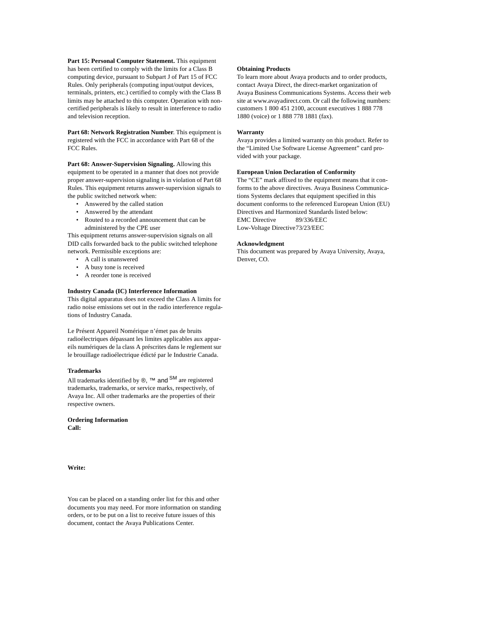**Part 15: Personal Computer Statement.** This equipment has been certified to comply with the limits for a Class B computing device, pursuant to Subpart J of Part 15 of FCC Rules. Only peripherals (computing input/output devices, terminals, printers, etc.) certified to comply with the Class B limits may be attached to this computer. Operation with noncertified peripherals is likely to result in interference to radio and television reception.

**Part 68: Network Registration Number**. This equipment is registered with the FCC in accordance with Part 68 of the FCC Rules.

**Part 68: Answer-Supervision Signaling.** Allowing this equipment to be operated in a manner that does not provide proper answer-supervision signaling is in violation of Part 68 Rules. This equipment returns answer-supervision signals to the public switched network when:

- Answered by the called station
- Answered by the attendant
- Routed to a recorded announcement that can be administered by the CPE user

This equipment returns answer-supervision signals on all DID calls forwarded back to the public switched telephone network. Permissible exceptions are:

- A call is unanswered
- A busy tone is received
- A reorder tone is received

### **Industry Canada (IC) Interference Information**

This digital apparatus does not exceed the Class A limits for radio noise emissions set out in the radio interference regulations of Industry Canada.

Le Présent Appareil Nomérique n'émet pas de bruits radioélectriques dépassant les limites applicables aux appareils numériques de la class A préscrites dans le reglement sur le brouillage radioélectrique édicté par le Industrie Canada.

### **Trademarks**

All trademarks identified by  $\mathbb{R}$ ,  $\mathbb{M}$  and  $\mathbb{S}^{\mathsf{M}}$  are registered trademarks, trademarks, or service marks, respectively, of Avaya Inc. All other trademarks are the properties of their respective owners.

**Ordering Information Call:**

**Write:**

### You can be placed on a standing order list for this and other documents you may need. For more information on standing orders, or to be put on a list to receive future issues of this document, contact the Avaya Publications Center.

### **Obtaining Products**

To learn more about Avaya products and to order products, contact Avaya Direct, the direct-market organization of Avaya Business Communications Systems. Access their web site at www.avayadirect.com. Or call the following numbers: customers 1 800 451 2100, account executives 1 888 778 1880 (voice) or 1 888 778 1881 (fax).

### **Warranty**

Avaya provides a limited warranty on this product. Refer to the "Limited Use Software License Agreement" card provided with your package.

### **European Union Declaration of Conformity**

The "CE" mark affixed to the equipment means that it conforms to the above directives. Avaya Business Communications Systems declares that equipment specified in this document conforms to the referenced European Union (EU) Directives and Harmonized Standards listed below: EMC Directive 89/336/EEC Low-Voltage Directive73/23/EEC

### **Acknowledgment**

This document was prepared by Avaya University, Avaya, Denver, CO.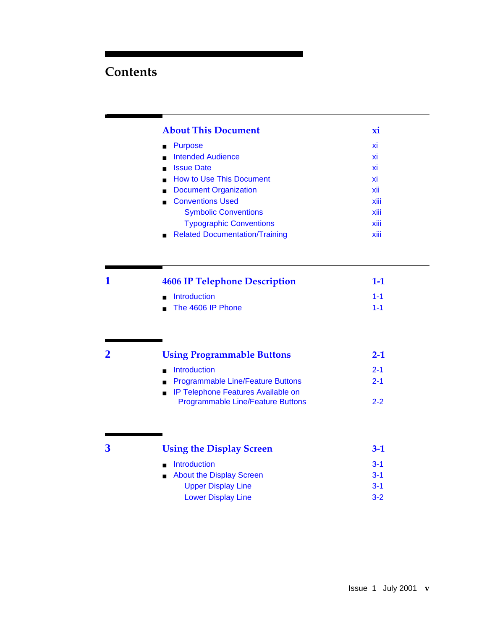|                         | <b>About This Document</b>                     | xi      |
|-------------------------|------------------------------------------------|---------|
|                         | <b>Purpose</b><br>$\blacksquare$               | xi      |
|                         | <b>Intended Audience</b>                       | xi      |
|                         | <b>Issue Date</b>                              | xi      |
|                         | <b>How to Use This Document</b>                | Хİ      |
|                         | <b>Document Organization</b><br>$\blacksquare$ | xii     |
|                         | <b>Conventions Used</b><br>$\blacksquare$      | xiii    |
|                         | <b>Symbolic Conventions</b>                    | xiii    |
|                         | <b>Typographic Conventions</b>                 | xiii    |
|                         | <b>Related Documentation/Training</b>          | xiii    |
|                         |                                                |         |
| 1                       | <b>4606 IP Telephone Description</b>           | $1-1$   |
|                         | Introduction                                   | $1 - 1$ |
|                         | The 4606 IP Phone<br>$\blacksquare$            | $1 - 1$ |
|                         |                                                |         |
| $\overline{\mathbf{2}}$ | <b>Using Programmable Buttons</b>              | $2 - 1$ |
|                         | Introduction                                   | $2 - 1$ |
|                         | <b>Programmable Line/Feature Buttons</b>       | $2 - 1$ |
|                         | IP Telephone Features Available on             |         |
|                         | <b>Programmable Line/Feature Buttons</b>       | $2 - 2$ |
|                         |                                                |         |
| $\overline{\mathbf{3}}$ | <b>Using the Display Screen</b>                | $3-1$   |
|                         | <b>Introduction</b>                            | $3 - 1$ |
|                         | <b>About the Display Screen</b>                | $3 - 1$ |
|                         | <b>Upper Display Line</b>                      | $3 - 1$ |
|                         | <b>Lower Display Line</b>                      | $3 - 2$ |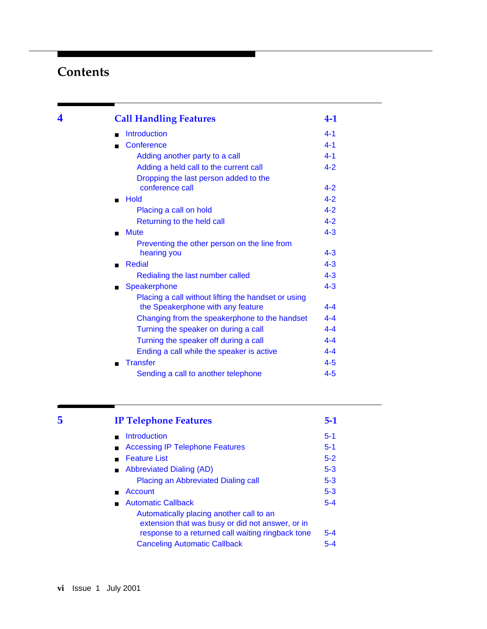| 4<br><b>Call Handling Features</b>                  | $4-1$   |
|-----------------------------------------------------|---------|
| <b>Introduction</b>                                 | $4 - 1$ |
| Conference                                          | $4 - 1$ |
| Adding another party to a call                      | $4 - 1$ |
| Adding a held call to the current call              | $4 - 2$ |
| Dropping the last person added to the               |         |
| conference call                                     | $4 - 2$ |
| Hold<br>$\blacksquare$                              | $4 - 2$ |
| Placing a call on hold                              | $4 - 2$ |
| Returning to the held call                          | $4 - 2$ |
| <b>Mute</b><br>$\blacksquare$                       | $4 - 3$ |
| Preventing the other person on the line from        |         |
| hearing you                                         | $4 - 3$ |
| Redial                                              | $4 - 3$ |
| Redialing the last number called                    | $4 - 3$ |
| Speakerphone                                        | $4 - 3$ |
| Placing a call without lifting the handset or using |         |
| the Speakerphone with any feature                   | 4-4     |
| Changing from the speakerphone to the handset       | $4 - 4$ |
| Turning the speaker on during a call                | $4 - 4$ |
| Turning the speaker off during a call               | $4 - 4$ |
| Ending a call while the speaker is active           | $4 - 4$ |
| <b>Transfer</b><br>$\blacksquare$                   | $4 - 5$ |
| Sending a call to another telephone                 | $4 - 5$ |

| 5 | <b>IP Telephone Features</b>                                                                 | $5-1$   |
|---|----------------------------------------------------------------------------------------------|---------|
|   | Introduction<br>$\blacksquare$                                                               | $5 - 1$ |
|   | <b>Accessing IP Telephone Features</b>                                                       | $5 - 1$ |
|   | <b>Feature List</b><br>$\blacksquare$                                                        | $5 - 2$ |
|   | <b>Abbreviated Dialing (AD)</b><br>$\blacksquare$                                            | $5 - 3$ |
|   | Placing an Abbreviated Dialing call                                                          | $5 - 3$ |
|   | Account<br>$\blacksquare$                                                                    | $5 - 3$ |
|   | <b>Automatic Callback</b><br>$\blacksquare$                                                  | $5 - 4$ |
|   | Automatically placing another call to an<br>extension that was busy or did not answer, or in |         |
|   | response to a returned call waiting ringback tone                                            | $5 - 4$ |
|   | <b>Canceling Automatic Callback</b>                                                          | $5-4$   |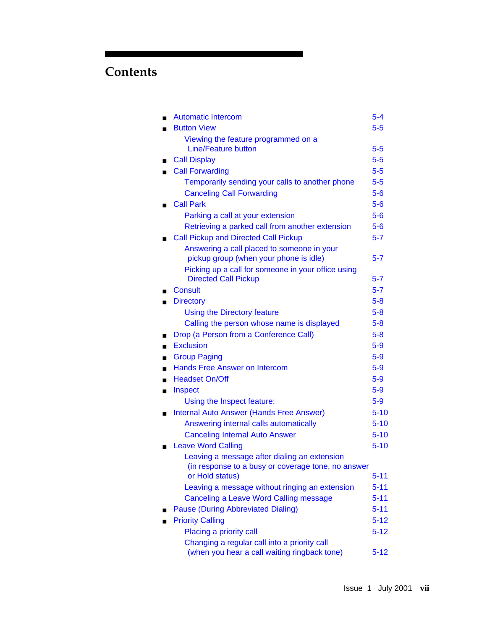| <b>Button View</b><br>Viewing the feature programmed on a<br><b>Line/Feature button</b><br><b>Call Display</b><br>п<br><b>Call Forwarding</b><br>п<br>Temporarily sending your calls to another phone<br><b>Canceling Call Forwarding</b><br><b>Call Park</b><br>п<br>Parking a call at your extension<br>Retrieving a parked call from another extension<br><b>Call Pickup and Directed Call Pickup</b><br>Answering a call placed to someone in your<br>pickup group (when your phone is idle)<br>Picking up a call for someone in your office using<br><b>Directed Call Pickup</b><br><b>Consult</b><br>▬<br><b>Directory</b><br>п<br>Using the Directory feature<br>Calling the person whose name is displayed<br>Drop (a Person from a Conference Call)<br>п<br><b>Exclusion</b><br>$\blacksquare$<br><b>Group Paging</b><br><b>Hands Free Answer on Intercom</b><br>▬<br><b>Headset On/Off</b><br>$\blacksquare$<br>Inspect<br>■<br>Using the Inspect feature:<br><b>Internal Auto Answer (Hands Free Answer)</b><br>п<br>Answering internal calls automatically<br><b>Canceling Internal Auto Answer</b><br><b>Leave Word Calling</b><br>Leaving a message after dialing an extension<br>(in response to a busy or coverage tone, no answer<br>or Hold status)<br>Leaving a message without ringing an extension<br><b>Canceling a Leave Word Calling message</b><br><b>Pause (During Abbreviated Dialing)</b><br><b>Priority Calling</b><br>Placing a priority call<br>Changing a regular call into a priority call<br>(when you hear a call waiting ringback tone) | ■ | <b>Automatic Intercom</b> | $5 - 4$  |
|-----------------------------------------------------------------------------------------------------------------------------------------------------------------------------------------------------------------------------------------------------------------------------------------------------------------------------------------------------------------------------------------------------------------------------------------------------------------------------------------------------------------------------------------------------------------------------------------------------------------------------------------------------------------------------------------------------------------------------------------------------------------------------------------------------------------------------------------------------------------------------------------------------------------------------------------------------------------------------------------------------------------------------------------------------------------------------------------------------------------------------------------------------------------------------------------------------------------------------------------------------------------------------------------------------------------------------------------------------------------------------------------------------------------------------------------------------------------------------------------------------------------------------------------------------------------------------|---|---------------------------|----------|
|                                                                                                                                                                                                                                                                                                                                                                                                                                                                                                                                                                                                                                                                                                                                                                                                                                                                                                                                                                                                                                                                                                                                                                                                                                                                                                                                                                                                                                                                                                                                                                             |   |                           | $5-5$    |
|                                                                                                                                                                                                                                                                                                                                                                                                                                                                                                                                                                                                                                                                                                                                                                                                                                                                                                                                                                                                                                                                                                                                                                                                                                                                                                                                                                                                                                                                                                                                                                             |   |                           |          |
|                                                                                                                                                                                                                                                                                                                                                                                                                                                                                                                                                                                                                                                                                                                                                                                                                                                                                                                                                                                                                                                                                                                                                                                                                                                                                                                                                                                                                                                                                                                                                                             |   |                           | $5 - 5$  |
|                                                                                                                                                                                                                                                                                                                                                                                                                                                                                                                                                                                                                                                                                                                                                                                                                                                                                                                                                                                                                                                                                                                                                                                                                                                                                                                                                                                                                                                                                                                                                                             |   |                           | $5-5$    |
|                                                                                                                                                                                                                                                                                                                                                                                                                                                                                                                                                                                                                                                                                                                                                                                                                                                                                                                                                                                                                                                                                                                                                                                                                                                                                                                                                                                                                                                                                                                                                                             |   |                           | $5 - 5$  |
|                                                                                                                                                                                                                                                                                                                                                                                                                                                                                                                                                                                                                                                                                                                                                                                                                                                                                                                                                                                                                                                                                                                                                                                                                                                                                                                                                                                                                                                                                                                                                                             |   |                           | $5 - 5$  |
|                                                                                                                                                                                                                                                                                                                                                                                                                                                                                                                                                                                                                                                                                                                                                                                                                                                                                                                                                                                                                                                                                                                                                                                                                                                                                                                                                                                                                                                                                                                                                                             |   |                           | $5 - 6$  |
|                                                                                                                                                                                                                                                                                                                                                                                                                                                                                                                                                                                                                                                                                                                                                                                                                                                                                                                                                                                                                                                                                                                                                                                                                                                                                                                                                                                                                                                                                                                                                                             |   |                           | $5-6$    |
|                                                                                                                                                                                                                                                                                                                                                                                                                                                                                                                                                                                                                                                                                                                                                                                                                                                                                                                                                                                                                                                                                                                                                                                                                                                                                                                                                                                                                                                                                                                                                                             |   |                           | $5-6$    |
|                                                                                                                                                                                                                                                                                                                                                                                                                                                                                                                                                                                                                                                                                                                                                                                                                                                                                                                                                                                                                                                                                                                                                                                                                                                                                                                                                                                                                                                                                                                                                                             |   |                           | $5-6$    |
|                                                                                                                                                                                                                                                                                                                                                                                                                                                                                                                                                                                                                                                                                                                                                                                                                                                                                                                                                                                                                                                                                                                                                                                                                                                                                                                                                                                                                                                                                                                                                                             |   |                           | $5 - 7$  |
|                                                                                                                                                                                                                                                                                                                                                                                                                                                                                                                                                                                                                                                                                                                                                                                                                                                                                                                                                                                                                                                                                                                                                                                                                                                                                                                                                                                                                                                                                                                                                                             |   |                           |          |
|                                                                                                                                                                                                                                                                                                                                                                                                                                                                                                                                                                                                                                                                                                                                                                                                                                                                                                                                                                                                                                                                                                                                                                                                                                                                                                                                                                                                                                                                                                                                                                             |   |                           | $5 - 7$  |
|                                                                                                                                                                                                                                                                                                                                                                                                                                                                                                                                                                                                                                                                                                                                                                                                                                                                                                                                                                                                                                                                                                                                                                                                                                                                                                                                                                                                                                                                                                                                                                             |   |                           |          |
|                                                                                                                                                                                                                                                                                                                                                                                                                                                                                                                                                                                                                                                                                                                                                                                                                                                                                                                                                                                                                                                                                                                                                                                                                                                                                                                                                                                                                                                                                                                                                                             |   |                           | $5 - 7$  |
|                                                                                                                                                                                                                                                                                                                                                                                                                                                                                                                                                                                                                                                                                                                                                                                                                                                                                                                                                                                                                                                                                                                                                                                                                                                                                                                                                                                                                                                                                                                                                                             |   |                           | $5 - 7$  |
|                                                                                                                                                                                                                                                                                                                                                                                                                                                                                                                                                                                                                                                                                                                                                                                                                                                                                                                                                                                                                                                                                                                                                                                                                                                                                                                                                                                                                                                                                                                                                                             |   |                           | $5 - 8$  |
|                                                                                                                                                                                                                                                                                                                                                                                                                                                                                                                                                                                                                                                                                                                                                                                                                                                                                                                                                                                                                                                                                                                                                                                                                                                                                                                                                                                                                                                                                                                                                                             |   |                           | $5 - 8$  |
|                                                                                                                                                                                                                                                                                                                                                                                                                                                                                                                                                                                                                                                                                                                                                                                                                                                                                                                                                                                                                                                                                                                                                                                                                                                                                                                                                                                                                                                                                                                                                                             |   |                           | $5 - 8$  |
|                                                                                                                                                                                                                                                                                                                                                                                                                                                                                                                                                                                                                                                                                                                                                                                                                                                                                                                                                                                                                                                                                                                                                                                                                                                                                                                                                                                                                                                                                                                                                                             |   |                           | $5 - 8$  |
|                                                                                                                                                                                                                                                                                                                                                                                                                                                                                                                                                                                                                                                                                                                                                                                                                                                                                                                                                                                                                                                                                                                                                                                                                                                                                                                                                                                                                                                                                                                                                                             |   |                           | $5-9$    |
|                                                                                                                                                                                                                                                                                                                                                                                                                                                                                                                                                                                                                                                                                                                                                                                                                                                                                                                                                                                                                                                                                                                                                                                                                                                                                                                                                                                                                                                                                                                                                                             |   |                           | $5-9$    |
|                                                                                                                                                                                                                                                                                                                                                                                                                                                                                                                                                                                                                                                                                                                                                                                                                                                                                                                                                                                                                                                                                                                                                                                                                                                                                                                                                                                                                                                                                                                                                                             |   |                           | $5-9$    |
|                                                                                                                                                                                                                                                                                                                                                                                                                                                                                                                                                                                                                                                                                                                                                                                                                                                                                                                                                                                                                                                                                                                                                                                                                                                                                                                                                                                                                                                                                                                                                                             |   |                           | $5-9$    |
|                                                                                                                                                                                                                                                                                                                                                                                                                                                                                                                                                                                                                                                                                                                                                                                                                                                                                                                                                                                                                                                                                                                                                                                                                                                                                                                                                                                                                                                                                                                                                                             |   |                           | $5-9$    |
|                                                                                                                                                                                                                                                                                                                                                                                                                                                                                                                                                                                                                                                                                                                                                                                                                                                                                                                                                                                                                                                                                                                                                                                                                                                                                                                                                                                                                                                                                                                                                                             |   |                           | $5-9$    |
|                                                                                                                                                                                                                                                                                                                                                                                                                                                                                                                                                                                                                                                                                                                                                                                                                                                                                                                                                                                                                                                                                                                                                                                                                                                                                                                                                                                                                                                                                                                                                                             |   |                           | $5 - 10$ |
|                                                                                                                                                                                                                                                                                                                                                                                                                                                                                                                                                                                                                                                                                                                                                                                                                                                                                                                                                                                                                                                                                                                                                                                                                                                                                                                                                                                                                                                                                                                                                                             |   |                           | $5 - 10$ |
|                                                                                                                                                                                                                                                                                                                                                                                                                                                                                                                                                                                                                                                                                                                                                                                                                                                                                                                                                                                                                                                                                                                                                                                                                                                                                                                                                                                                                                                                                                                                                                             |   |                           | $5 - 10$ |
|                                                                                                                                                                                                                                                                                                                                                                                                                                                                                                                                                                                                                                                                                                                                                                                                                                                                                                                                                                                                                                                                                                                                                                                                                                                                                                                                                                                                                                                                                                                                                                             |   |                           | $5 - 10$ |
|                                                                                                                                                                                                                                                                                                                                                                                                                                                                                                                                                                                                                                                                                                                                                                                                                                                                                                                                                                                                                                                                                                                                                                                                                                                                                                                                                                                                                                                                                                                                                                             |   |                           |          |
|                                                                                                                                                                                                                                                                                                                                                                                                                                                                                                                                                                                                                                                                                                                                                                                                                                                                                                                                                                                                                                                                                                                                                                                                                                                                                                                                                                                                                                                                                                                                                                             |   |                           |          |
|                                                                                                                                                                                                                                                                                                                                                                                                                                                                                                                                                                                                                                                                                                                                                                                                                                                                                                                                                                                                                                                                                                                                                                                                                                                                                                                                                                                                                                                                                                                                                                             |   |                           | $5 - 11$ |
|                                                                                                                                                                                                                                                                                                                                                                                                                                                                                                                                                                                                                                                                                                                                                                                                                                                                                                                                                                                                                                                                                                                                                                                                                                                                                                                                                                                                                                                                                                                                                                             |   |                           | $5 - 11$ |
|                                                                                                                                                                                                                                                                                                                                                                                                                                                                                                                                                                                                                                                                                                                                                                                                                                                                                                                                                                                                                                                                                                                                                                                                                                                                                                                                                                                                                                                                                                                                                                             |   |                           | $5 - 11$ |
|                                                                                                                                                                                                                                                                                                                                                                                                                                                                                                                                                                                                                                                                                                                                                                                                                                                                                                                                                                                                                                                                                                                                                                                                                                                                                                                                                                                                                                                                                                                                                                             |   |                           | $5 - 11$ |
|                                                                                                                                                                                                                                                                                                                                                                                                                                                                                                                                                                                                                                                                                                                                                                                                                                                                                                                                                                                                                                                                                                                                                                                                                                                                                                                                                                                                                                                                                                                                                                             |   |                           | $5 - 12$ |
|                                                                                                                                                                                                                                                                                                                                                                                                                                                                                                                                                                                                                                                                                                                                                                                                                                                                                                                                                                                                                                                                                                                                                                                                                                                                                                                                                                                                                                                                                                                                                                             |   |                           | $5 - 12$ |
|                                                                                                                                                                                                                                                                                                                                                                                                                                                                                                                                                                                                                                                                                                                                                                                                                                                                                                                                                                                                                                                                                                                                                                                                                                                                                                                                                                                                                                                                                                                                                                             |   |                           |          |
|                                                                                                                                                                                                                                                                                                                                                                                                                                                                                                                                                                                                                                                                                                                                                                                                                                                                                                                                                                                                                                                                                                                                                                                                                                                                                                                                                                                                                                                                                                                                                                             |   |                           | $5 - 12$ |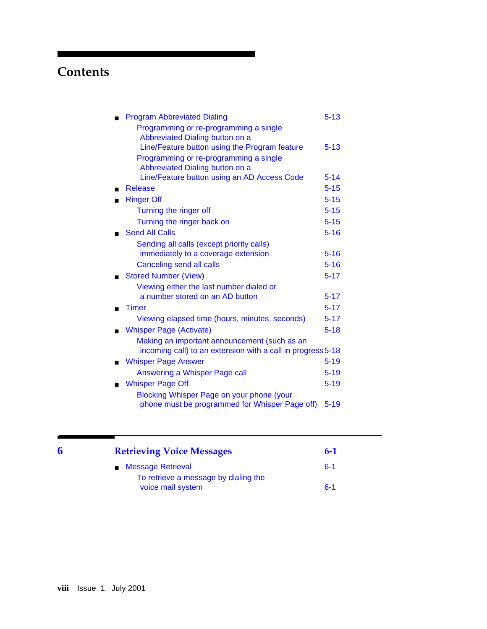| <b>Program Abbreviated Dialing</b>                          | $5 - 13$ |
|-------------------------------------------------------------|----------|
| Programming or re-programming a single                      |          |
| Abbreviated Dialing button on a                             |          |
| Line/Feature button using the Program feature               | $5 - 13$ |
| Programming or re-programming a single                      |          |
| Abbreviated Dialing button on a                             |          |
| Line/Feature button using an AD Access Code                 | $5 - 14$ |
| Release                                                     | $5 - 15$ |
| <b>Ringer Off</b><br>п                                      | $5 - 15$ |
| Turning the ringer off                                      | $5 - 15$ |
| Turning the ringer back on                                  | $5 - 15$ |
| <b>Send All Calls</b>                                       | $5 - 16$ |
| Sending all calls (except priority calls)                   |          |
| immediately to a coverage extension                         | $5 - 16$ |
| Canceling send all calls                                    | $5 - 16$ |
| <b>Stored Number (View)</b>                                 | $5 - 17$ |
| Viewing either the last number dialed or                    |          |
| a number stored on an AD button                             | $5 - 17$ |
| <b>Timer</b><br>п                                           | $5 - 17$ |
| Viewing elapsed time (hours, minutes, seconds)              | $5 - 17$ |
| <b>Whisper Page (Activate)</b>                              | $5 - 18$ |
| Making an important announcement (such as an                |          |
| incoming call) to an extension with a call in progress 5-18 |          |
| <b>Whisper Page Answer</b>                                  | $5 - 19$ |
| Answering a Whisper Page call                               | $5 - 19$ |
| <b>Whisper Page Off</b><br>П                                | $5 - 19$ |
| <b>Blocking Whisper Page on your phone (your</b>            |          |
| phone must be programmed for Whisper Page off)              | $5 - 19$ |

| 6 | <b>Retrieving Voice Messages</b>                          | $6-1$   |  |
|---|-----------------------------------------------------------|---------|--|
|   | ■ Message Retrieval                                       | $6 - 1$ |  |
|   | To retrieve a message by dialing the<br>voice mail system | $6 - 1$ |  |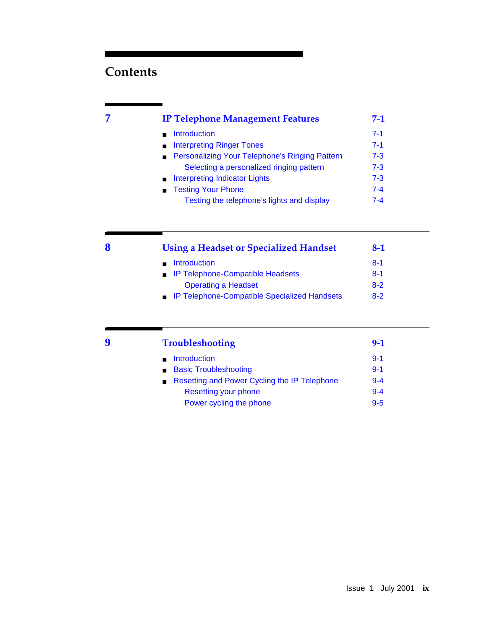| <b>IP Telephone Management Features</b>               | $7-1$   |
|-------------------------------------------------------|---------|
| <b>Introduction</b>                                   | $7 - 1$ |
| <b>Interpreting Ringer Tones</b>                      | $7 - 1$ |
| <b>Personalizing Your Telephone's Ringing Pattern</b> | $7 - 3$ |
| Selecting a personalized ringing pattern              | $7 - 3$ |
| Interpreting Indicator Lights                         | $7 - 3$ |
| <b>Testing Your Phone</b><br>$\blacksquare$           | $7 - 4$ |
| Testing the telephone's lights and display            | $7 - 4$ |
|                                                       |         |

| 8 | <b>Using a Headset or Specialized Handset</b>         | $8-1$   |  |
|---|-------------------------------------------------------|---------|--|
|   | <b>Introduction</b>                                   | $8 - 1$ |  |
|   | <b>F</b> IP Telephone-Compatible Headsets             | $8 - 1$ |  |
|   | <b>Operating a Headset</b>                            | $8 - 2$ |  |
|   | <b>E</b> IP Telephone-Compatible Specialized Handsets | $8-2$   |  |

| <b>Troubleshooting</b>                                         | $9-1$   |
|----------------------------------------------------------------|---------|
| Introduction                                                   | $9 - 1$ |
| <b>Basic Troubleshooting</b><br>$\blacksquare$                 | $9 - 1$ |
| Resetting and Power Cycling the IP Telephone<br>$\blacksquare$ | $9 - 4$ |
| Resetting your phone                                           | $9 - 4$ |
| Power cycling the phone                                        | $9 - 5$ |
|                                                                |         |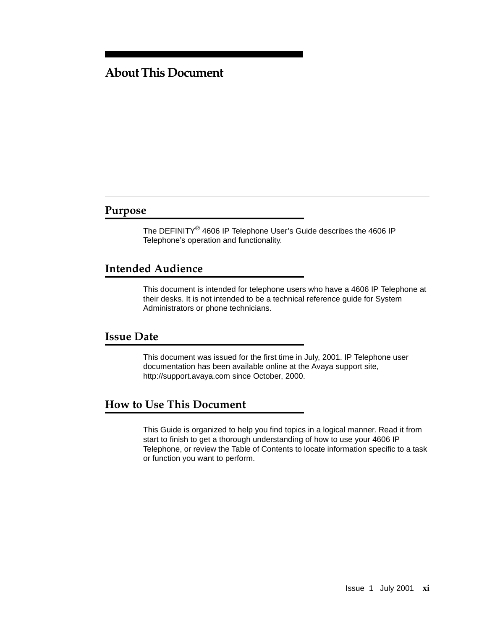## <span id="page-10-0"></span>**About This Document**

### <span id="page-10-1"></span>**Purpose**

The DEFINITY® 4606 IP Telephone User's Guide describes the 4606 IP Telephone's operation and functionality.

### <span id="page-10-2"></span>**Intended Audience**

This document is intended for telephone users who have a 4606 IP Telephone at their desks. It is not intended to be a technical reference guide for System Administrators or phone technicians.

### <span id="page-10-3"></span>**Issue Date**

This document was issued for the first time in July, 2001. IP Telephone user documentation has been available online at the Avaya support site, http://support.avaya.com since October, 2000.

### <span id="page-10-4"></span>**How to Use This Document**

This Guide is organized to help you find topics in a logical manner. Read it from start to finish to get a thorough understanding of how to use your 4606 IP Telephone, or review the Table of Contents to locate information specific to a task or function you want to perform.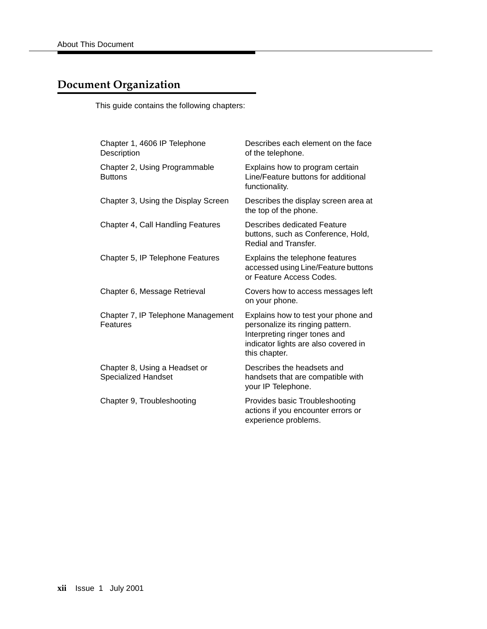## <span id="page-11-0"></span>**Document Organization**

This guide contains the following chapters:

| Chapter 1, 4606 IP Telephone<br>Description          | Describes each element on the face<br>of the telephone.                                                                                                           |
|------------------------------------------------------|-------------------------------------------------------------------------------------------------------------------------------------------------------------------|
| Chapter 2, Using Programmable<br><b>Buttons</b>      | Explains how to program certain<br>Line/Feature buttons for additional<br>functionality.                                                                          |
| Chapter 3, Using the Display Screen                  | Describes the display screen area at<br>the top of the phone.                                                                                                     |
| Chapter 4, Call Handling Features                    | <b>Describes dedicated Feature</b><br>buttons, such as Conference, Hold,<br>Redial and Transfer.                                                                  |
| Chapter 5, IP Telephone Features                     | Explains the telephone features<br>accessed using Line/Feature buttons<br>or Feature Access Codes.                                                                |
| Chapter 6, Message Retrieval                         | Covers how to access messages left<br>on your phone.                                                                                                              |
| Chapter 7, IP Telephone Management<br>Features       | Explains how to test your phone and<br>personalize its ringing pattern.<br>Interpreting ringer tones and<br>indicator lights are also covered in<br>this chapter. |
| Chapter 8, Using a Headset or<br>Specialized Handset | Describes the headsets and<br>handsets that are compatible with<br>your IP Telephone.                                                                             |
| Chapter 9, Troubleshooting                           | Provides basic Troubleshooting<br>actions if you encounter errors or<br>experience problems.                                                                      |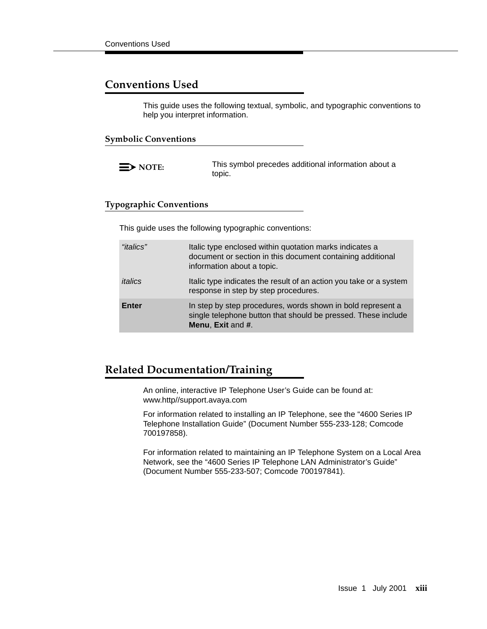### <span id="page-12-0"></span>**Conventions Used**

This guide uses the following textual, symbolic, and typographic conventions to help you interpret information.

<span id="page-12-1"></span>

| <b>Symbolic Conventions</b> |
|-----------------------------|
|                             |

 $\implies$  NOTE: This symbol precedes additional information about a topic.

### <span id="page-12-2"></span>**Typographic Conventions**

This guide uses the following typographic conventions:

| " <i>italics</i> " | Italic type enclosed within quotation marks indicates a<br>document or section in this document containing additional<br>information about a topic. |
|--------------------|-----------------------------------------------------------------------------------------------------------------------------------------------------|
| italics            | Italic type indicates the result of an action you take or a system<br>response in step by step procedures.                                          |
| <b>Enter</b>       | In step by step procedures, words shown in bold represent a<br>single telephone button that should be pressed. These include<br>Menu, Exit and #.   |

### <span id="page-12-3"></span>**Related Documentation/Training**

An online, interactive IP Telephone User's Guide can be found at: www.http//support.avaya.com

For information related to installing an IP Telephone, see the "4600 Series IP Telephone Installation Guide" (Document Number 555-233-128; Comcode 700197858).

For information related to maintaining an IP Telephone System on a Local Area Network, see the "4600 Series IP Telephone LAN Administrator's Guide" (Document Number 555-233-507; Comcode 700197841).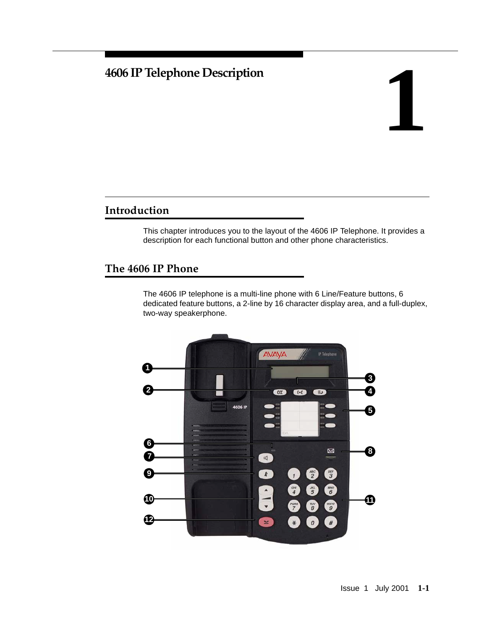# <span id="page-14-1"></span><span id="page-14-0"></span>**1 4606 IP Telephone Description**

### <span id="page-14-2"></span>**Introduction**

This chapter introduces you to the layout of the 4606 IP Telephone. It provides a description for each functional button and other phone characteristics.

### <span id="page-14-3"></span>**The 4606 IP Phone**

The 4606 IP telephone is a multi-line phone with 6 Line/Feature buttons, 6 dedicated feature buttons, a 2-line by 16 character display area, and a full-duplex, two-way speakerphone.

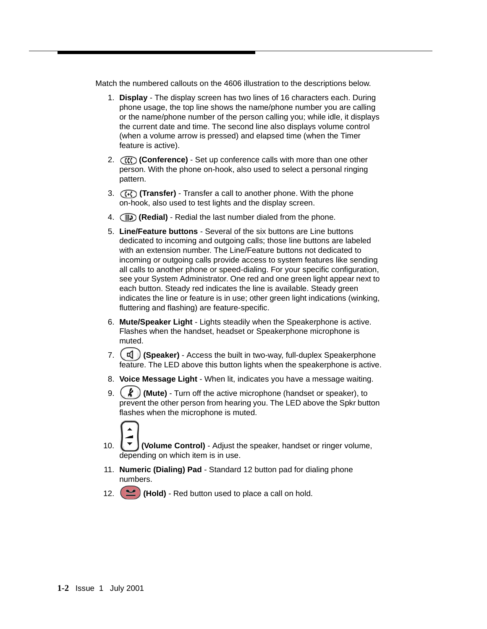Match the numbered callouts on the 4606 illustration to the descriptions below.

- 1. **Display** The display screen has two lines of 16 characters each. During phone usage, the top line shows the name/phone number you are calling or the name/phone number of the person calling you; while idle, it displays the current date and time. The second line also displays volume control (when a volume arrow is pressed) and elapsed time (when the Timer feature is active).
- 2. **(Conference)**  Set up conference calls with more than one other person. With the phone on-hook, also used to select a personal ringing pattern.
- 3. **(Transfer)**  Transfer a call to another phone. With the phone on-hook, also used to test lights and the display screen.
- **4. (iii) (Redial)** Redial the last number dialed from the phone.
- 5. **Line/Feature buttons**  Several of the six buttons are Line buttons dedicated to incoming and outgoing calls; those line buttons are labeled with an extension number. The Line/Feature buttons not dedicated to incoming or outgoing calls provide access to system features like sending all calls to another phone or speed-dialing. For your specific configuration, see your System Administrator. One red and one green light appear next to each button. Steady red indicates the line is available. Steady green indicates the line or feature is in use; other green light indications (winking, fluttering and flashing) are feature-specific.
- 6. **Mute/Speaker Light**  Lights steadily when the Speakerphone is active. Flashes when the handset, headset or Speakerphone microphone is muted.
- 7. **(Speaker)**  Access the built in two-way, full-duplex Speakerphone feature. The LED above this button lights when the speakerphone is active.
- 8. **Voice Message Light**  When lit, indicates you have a message waiting.
- 9. **(Mute)**  Turn off the active microphone (handset or speaker), to prevent the other person from hearing you. The LED above the Spkr button flashes when the microphone is muted.



- 10. **(** $\bullet$  **)** (Volume Control) Adjust the speaker, handset or ringer volume, depending on which item is in use.
- 11. **Numeric (Dialing) Pad**  Standard 12 button pad for dialing phone numbers.
- 12. **(Mold)** Red button used to place a call on hold.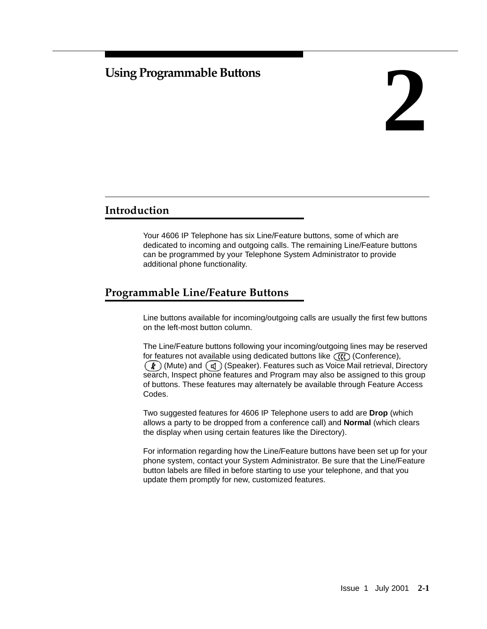# <span id="page-16-1"></span><span id="page-16-0"></span>**2 Using Programmable Buttons**

### <span id="page-16-2"></span>**Introduction**

Your 4606 IP Telephone has six Line/Feature buttons, some of which are dedicated to incoming and outgoing calls. The remaining Line/Feature buttons can be programmed by your Telephone System Administrator to provide additional phone functionality.

### <span id="page-16-3"></span>**Programmable Line/Feature Buttons**

Line buttons available for incoming/outgoing calls are usually the first few buttons on the left-most button column.

The Line/Feature buttons following your incoming/outgoing lines may be reserved for features not available using dedicated buttons like  $\langle \hat{\mathfrak{m}} \rangle$  (Conference),  $\binom{r}{k}$  (Mute) and  $\binom{r}{k}$  (Speaker). Features such as Voice Mail retrieval, Directory search, Inspect phone features and Program may also be assigned to this group of buttons. These features may alternately be available through Feature Access Codes.

Two suggested features for 4606 IP Telephone users to add are **Drop** (which allows a party to be dropped from a conference call) and **Normal** (which clears the display when using certain features like the Directory).

For information regarding how the Line/Feature buttons have been set up for your phone system, contact your System Administrator. Be sure that the Line/Feature button labels are filled in before starting to use your telephone, and that you update them promptly for new, customized features.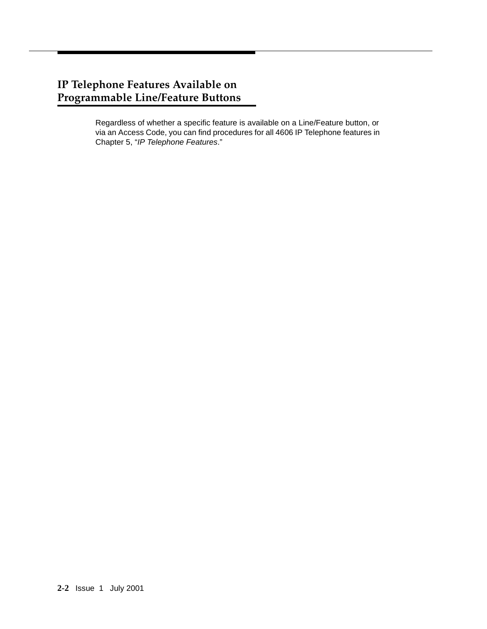### <span id="page-17-0"></span>**IP Telephone Features Available on Programmable Line/Feature Buttons**

Regardless of whether a specific feature is available on a Line/Feature button, or via an Access Code, you can find procedures for all 4606 IP Telephone features in Chapter 5, "IP Telephone Features."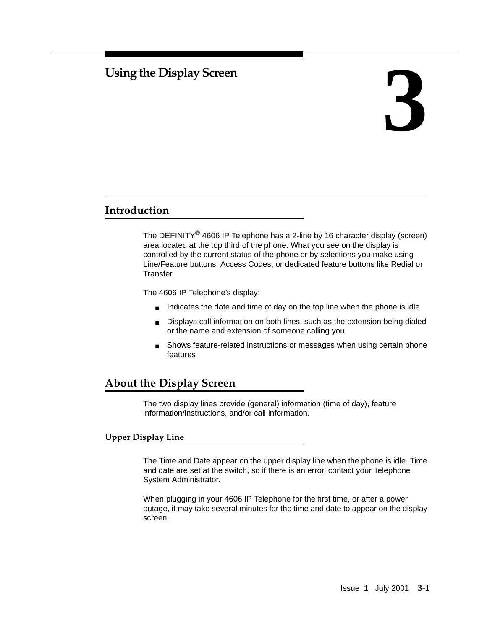# <span id="page-18-1"></span><span id="page-18-0"></span>Using the Display Screen<br> **3**

### <span id="page-18-2"></span>**Introduction**

The DEFINITY® 4606 IP Telephone has a 2-line by 16 character display (screen) area located at the top third of the phone. What you see on the display is controlled by the current status of the phone or by selections you make using Line/Feature buttons, Access Codes, or dedicated feature buttons like Redial or **Transfer** 

The 4606 IP Telephone's display:

- Indicates the date and time of day on the top line when the phone is idle
- Displays call information on both lines, such as the extension being dialed or the name and extension of someone calling you
- Shows feature-related instructions or messages when using certain phone features

### <span id="page-18-3"></span>**About the Display Screen**

The two display lines provide (general) information (time of day), feature information/instructions, and/or call information.

### <span id="page-18-4"></span>**Upper Display Line**

The Time and Date appear on the upper display line when the phone is idle. Time and date are set at the switch, so if there is an error, contact your Telephone System Administrator.

When plugging in your 4606 IP Telephone for the first time, or after a power outage, it may take several minutes for the time and date to appear on the display screen.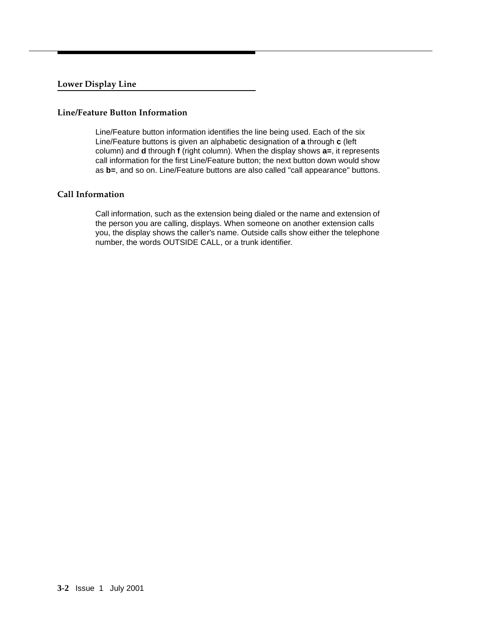### <span id="page-19-0"></span>**Lower Display Line**

### **Line/Feature Button Information**

Line/Feature button information identifies the line being used. Each of the six Line/Feature buttons is given an alphabetic designation of **a** through **c** (left column) and **d** through **f** (right column). When the display shows **a=**, it represents call information for the first Line/Feature button; the next button down would show as **b=**, and so on. Line/Feature buttons are also called "call appearance" buttons.

### **Call Information**

Call information, such as the extension being dialed or the name and extension of the person you are calling, displays. When someone on another extension calls you, the display shows the caller's name. Outside calls show either the telephone number, the words OUTSIDE CALL, or a trunk identifier.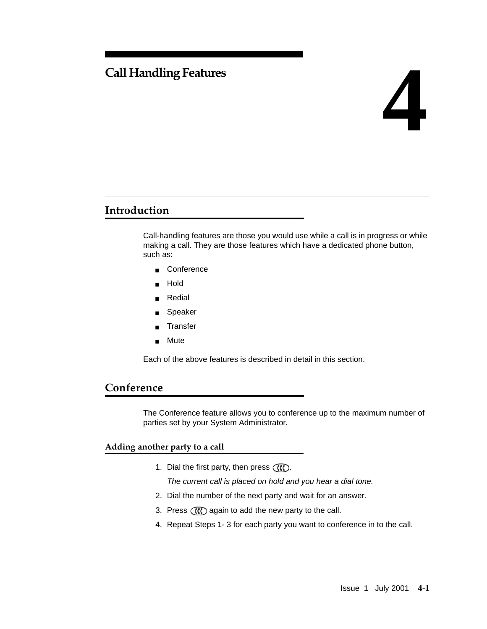# <span id="page-20-1"></span><span id="page-20-0"></span>**4 Call Handling Features**

### **Introduction**

<span id="page-20-2"></span>Call-handling features are those you would use while a call is in progress or while making a call. They are those features which have a dedicated phone button, such as:

- Conference
- Hold
- Redial
- Speaker
- **Transfer**
- **Mute**

<span id="page-20-3"></span>Each of the above features is described in detail in this section.

### **Conference**

The Conference feature allows you to conference up to the maximum number of parties set by your System Administrator.

### **Adding another party to a call**

<span id="page-20-4"></span>1. Dial the first party, then press  $\mathbb{C}$ .

The current call is placed on hold and you hear a dial tone.

- 2. Dial the number of the next party and wait for an answer.
- 3. Press  $\alpha$  again to add the new party to the call.
- 4. Repeat Steps 1- 3 for each party you want to conference in to the call.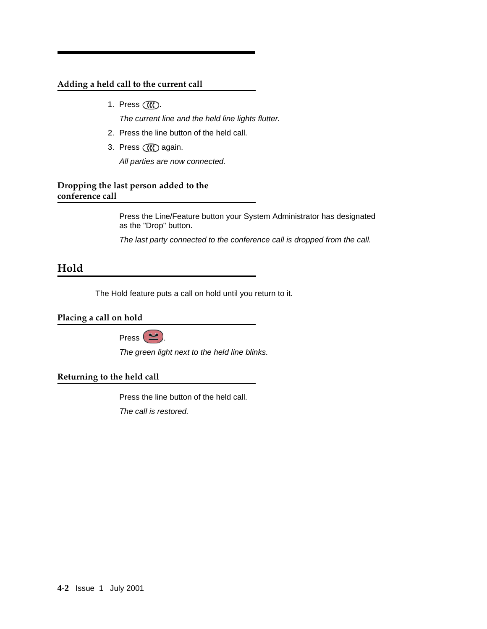### <span id="page-21-0"></span>**Adding a held call to the current call**

1. Press  $(n)$ .

The current line and the held line lights flutter.

- 2. Press the line button of the held call.
- 3. Press (III) again.

All parties are now connected.

### <span id="page-21-1"></span>**Dropping the last person added to the conference call**

Press the Line/Feature button your System Administrator has designated as the "Drop" button.

The last party connected to the conference call is dropped from the call.

<span id="page-21-2"></span>**Hold** 

The Hold feature puts a call on hold until you return to it.

<span id="page-21-3"></span>**Placing a call on hold** 

 $Press$  $($ 

The green light next to the held line blinks.

<span id="page-21-4"></span>**Returning to the held call** 

Press the line button of the held call.

The call is restored.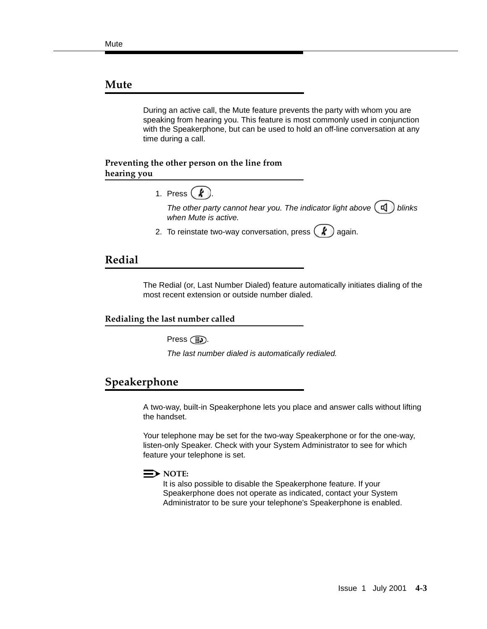### **Mute**

<span id="page-22-0"></span>During an active call, the Mute feature prevents the party with whom you are speaking from hearing you. This feature is most commonly used in conjunction with the Speakerphone, but can be used to hold an off-line conversation at any time during a call.

### **Preventing the other person on the line from hearing you**

<span id="page-22-1"></span>1. Press  $\mathcal{L}$ 

The other party cannot hear you. The indicator light above  $\begin{pmatrix} \mathbf{d} \end{pmatrix}$  blinks when Mute is active.

<span id="page-22-2"></span>2. To reinstate two-way conversation, press  $\left(\begin{array}{c} \mathbf{F} \end{array}\right)$  again.

### **Redial**

The Redial (or, Last Number Dialed) feature automatically initiates dialing of the most recent extension or outside number dialed.

### **Redialing the last number called**

<span id="page-22-3"></span>Press  $(B)$ .

<span id="page-22-4"></span>The last number dialed is automatically redialed.

### **Speakerphone**

A two-way, built-in Speakerphone lets you place and answer calls without lifting the handset.

Your telephone may be set for the two-way Speakerphone or for the one-way, listen-only Speaker. Check with your System Administrator to see for which feature your telephone is set.

### $\implies$  note:

It is also possible to disable the Speakerphone feature. If your Speakerphone does not operate as indicated, contact your System Administrator to be sure your telephone's Speakerphone is enabled.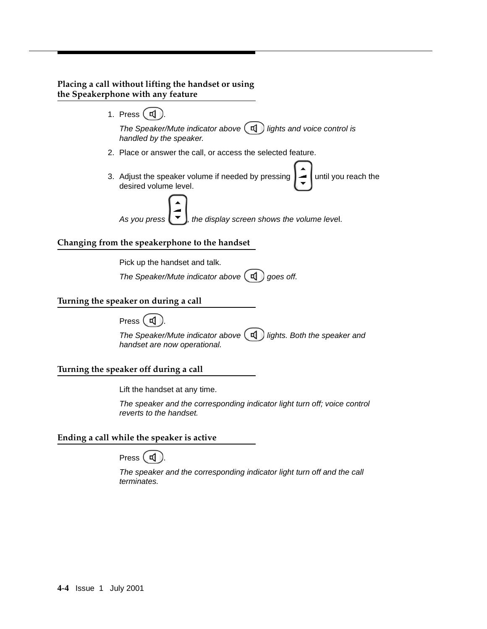### <span id="page-23-0"></span>**Placing a call without lifting the handset or using the Speakerphone with any feature**

1. Press  $\left(\right. \mathbb{q}\right)$ The Speaker/Mute indicator above  $\left(\begin{array}{c} \mathbb{q} \\ \end{array}\right)$  lights and voice control is handled by the speaker. 2. Place or answer the call, or access the selected feature. 3. Adjust the speaker volume if needed by pressing  $\Box$  until you reach the desired volume level. As you press  $\left( \cdot \right)$ , the display screen shows the volume level. **Changing from the speakerphone to the handset**  Pick up the handset and talk.

The Speaker/Mute indicator above  $\left(\begin{array}{c} \mathbb{q} \end{array}\right)$  goes off.

### <span id="page-23-2"></span><span id="page-23-1"></span>**Turning the speaker on during a call**

Press  $<sup>1</sup>$ </sup>

The Speaker/Mute indicator above  $\left(\begin{array}{c} \mathbb{q} \\ \mathbb{q} \end{array}\right)$  lights. Both the speaker and handset are now operational.

<span id="page-23-3"></span>**Turning the speaker off during a call**

Lift the handset at any time.

The speaker and the corresponding indicator light turn off; voice control reverts to the handset.

### <span id="page-23-4"></span>**Ending a call while the speaker is active**

Press  $\Box$ 

The speaker and the corresponding indicator light turn off and the call terminates.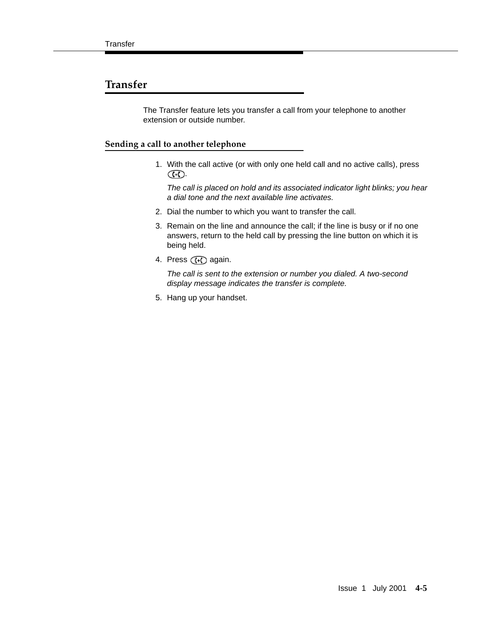### **Transfer**

<span id="page-24-0"></span>The Transfer feature lets you transfer a call from your telephone to another extension or outside number.

### **Sending a call to another telephone**

<span id="page-24-1"></span>1. With the call active (or with only one held call and no active calls), press  $\odot$ 

The call is placed on hold and its associated indicator light blinks; you hear a dial tone and the next available line activates.

- 2. Dial the number to which you want to transfer the call.
- 3. Remain on the line and announce the call; if the line is busy or if no one answers, return to the held call by pressing the line button on which it is being held.
- 4. Press (+C) again.

The call is sent to the extension or number you dialed. A two-second display message indicates the transfer is complete.

5. Hang up your handset.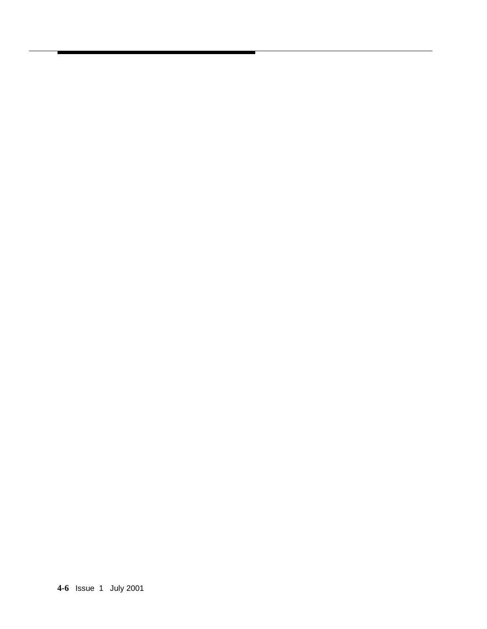**4-6** Issue 1 July 2001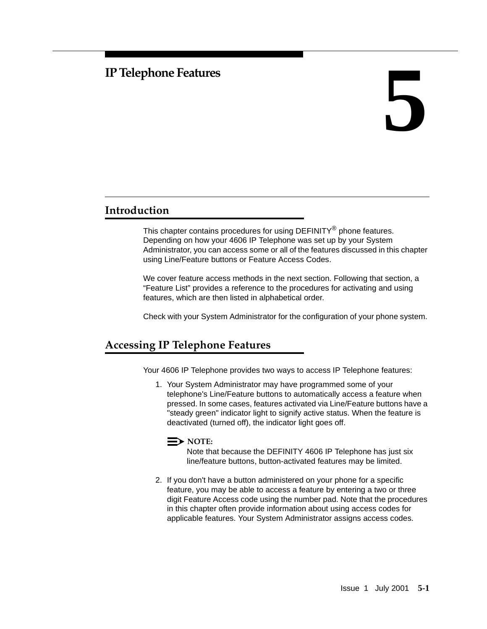# <span id="page-26-1"></span><span id="page-26-0"></span>**5 IP Telephone Features**

### **Introduction**

<span id="page-26-2"></span>This chapter contains procedures for using DEFINITY<sup>®</sup> phone features. Depending on how your 4606 IP Telephone was set up by your System Administrator, you can access some or all of the features discussed in this chapter using Line/Feature buttons or Feature Access Codes.

We cover feature access methods in the next section. Following that section, a "Feature List" provides a reference to the procedures for activating and using features, which are then listed in alphabetical order.

<span id="page-26-3"></span>Check with your System Administrator for the configuration of your phone system.

### **Accessing IP Telephone Features**

Your 4606 IP Telephone provides two ways to access IP Telephone features:

1. Your System Administrator may have programmed some of your telephone's Line/Feature buttons to automatically access a feature when pressed. In some cases, features activated via Line/Feature buttons have a "steady green" indicator light to signify active status. When the feature is deactivated (turned off), the indicator light goes off.

### $\Longrightarrow$  note:

Note that because the DEFINITY 4606 IP Telephone has just six line/feature buttons, button-activated features may be limited.

2. If you don't have a button administered on your phone for a specific feature, you may be able to access a feature by entering a two or three digit Feature Access code using the number pad. Note that the procedures in this chapter often provide information about using access codes for applicable features. Your System Administrator assigns access codes.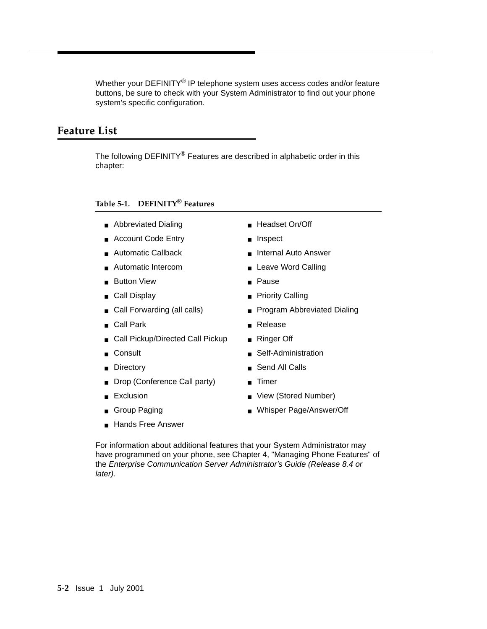Whether your DEFINITY<sup>®</sup> IP telephone system uses access codes and/or feature buttons, be sure to check with your System Administrator to find out your phone system's specific configuration.

### <span id="page-27-0"></span>**Feature List**

The following DEFINITY<sup>®</sup> Features are described in alphabetic order in this chapter:

### **Table 5-1. DEFINITY**® **Features**

- Abbreviated Dialing Headset On/Off
- Account Code Entry Inspect
- 
- 
- Button View Pause
- 
- 
- Call Park Release
- Call Pickup/Directed Call Pickup Ringer Off
- 
- 
- Drop (Conference Call party) Timer
- 
- 
- Hands Free Answer
- 
- 
- Automatic Callback Internal Auto Answer
- Automatic Intercom Leave Word Calling
	-
- Call Display Priority Calling
- Call Forwarding (all calls) Program Abbreviated Dialing
	-
	-
- Consult Self-Administration
- Directory Send All Calls
	-
- Exclusion View (Stored Number)
- Group Paging Whisper Page/Answer/Off

For information about additional features that your System Administrator may have programmed on your phone, see Chapter 4, "Managing Phone Features" of the Enterprise Communication Server Administrator's Guide (Release 8.4 or later).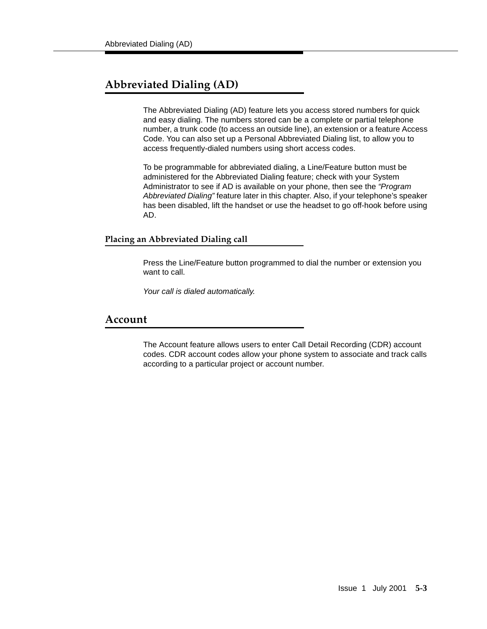### **Abbreviated Dialing (AD)**

<span id="page-28-0"></span>The Abbreviated Dialing (AD) feature lets you access stored numbers for quick and easy dialing. The numbers stored can be a complete or partial telephone number, a trunk code (to access an outside line), an extension or a feature Access Code. You can also set up a Personal Abbreviated Dialing list, to allow you to access frequently-dialed numbers using short access codes.

To be programmable for abbreviated dialing, a Line/Feature button must be administered for the Abbreviated Dialing feature; check with your System Administrator to see if AD is available on your phone, then see the "Program Abbreviated Dialing" feature later in this chapter. Also, if your telephone's speaker has been disabled, lift the handset or use the headset to go off-hook before using AD.

### **Placing an Abbreviated Dialing call**

<span id="page-28-1"></span>Press the Line/Feature button programmed to dial the number or extension you want to call.

<span id="page-28-2"></span>Your call is dialed automatically.

### **Account**

The Account feature allows users to enter Call Detail Recording (CDR) account codes. CDR account codes allow your phone system to associate and track calls according to a particular project or account number.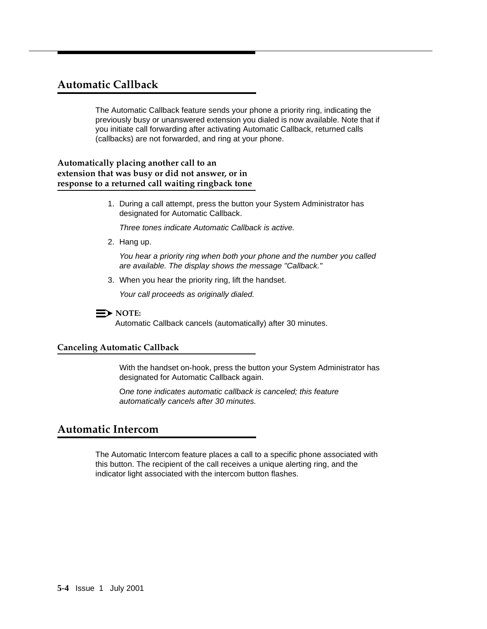### <span id="page-29-0"></span>**Automatic Callback**

The Automatic Callback feature sends your phone a priority ring, indicating the previously busy or unanswered extension you dialed is now available. Note that if you initiate call forwarding after activating Automatic Callback, returned calls (callbacks) are not forwarded, and ring at your phone.

### <span id="page-29-1"></span>**Automatically placing another call to an extension that was busy or did not answer, or in response to a returned call waiting ringback tone**

1. During a call attempt, press the button your System Administrator has designated for Automatic Callback.

Three tones indicate Automatic Callback is active.

2. Hang up.

You hear a priority ring when both your phone and the number you called are available. The display shows the message "Callback."

3. When you hear the priority ring, lift the handset.

Your call proceeds as originally dialed.

 $\implies$  NOTE:

Automatic Callback cancels (automatically) after 30 minutes.

### <span id="page-29-2"></span>**Canceling Automatic Callback**

With the handset on-hook, press the button your System Administrator has designated for Automatic Callback again.

One tone indicates automatic callback is canceled; this feature automatically cancels after 30 minutes.

### <span id="page-29-3"></span>**Automatic Intercom**

The Automatic Intercom feature places a call to a specific phone associated with this button. The recipient of the call receives a unique alerting ring, and the indicator light associated with the intercom button flashes.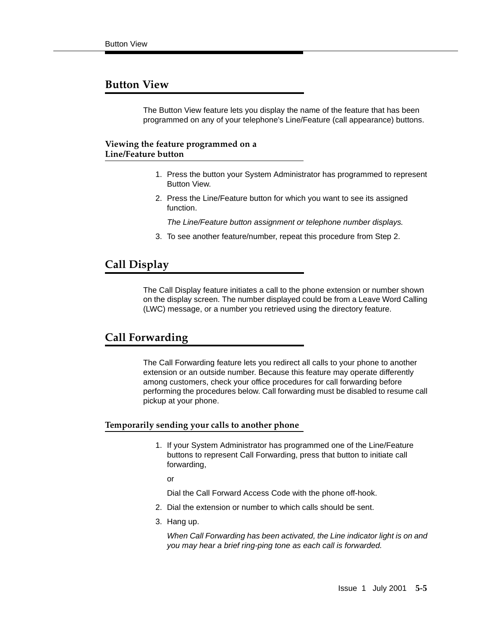### <span id="page-30-0"></span>**Button View**

The Button View feature lets you display the name of the feature that has been programmed on any of your telephone's Line/Feature (call appearance) buttons.

### <span id="page-30-1"></span>**Viewing the feature programmed on a Line/Feature button**

- 1. Press the button your System Administrator has programmed to represent Button View.
- 2. Press the Line/Feature button for which you want to see its assigned function.

The Line/Feature button assignment or telephone number displays.

3. To see another feature/number, repeat this procedure from Step 2.

### <span id="page-30-2"></span>**Call Display**

The Call Display feature initiates a call to the phone extension or number shown on the display screen. The number displayed could be from a Leave Word Calling (LWC) message, or a number you retrieved using the directory feature.

### <span id="page-30-3"></span>**Call Forwarding**

The Call Forwarding feature lets you redirect all calls to your phone to another extension or an outside number. Because this feature may operate differently among customers, check your office procedures for call forwarding before performing the procedures below. Call forwarding must be disabled to resume call pickup at your phone.

### <span id="page-30-4"></span>**Temporarily sending your calls to another phone**

1. If your System Administrator has programmed one of the Line/Feature buttons to represent Call Forwarding, press that button to initiate call forwarding,

or

Dial the Call Forward Access Code with the phone off-hook.

- 2. Dial the extension or number to which calls should be sent.
- 3. Hang up.

When Call Forwarding has been activated, the Line indicator light is on and you may hear a brief ring-ping tone as each call is forwarded.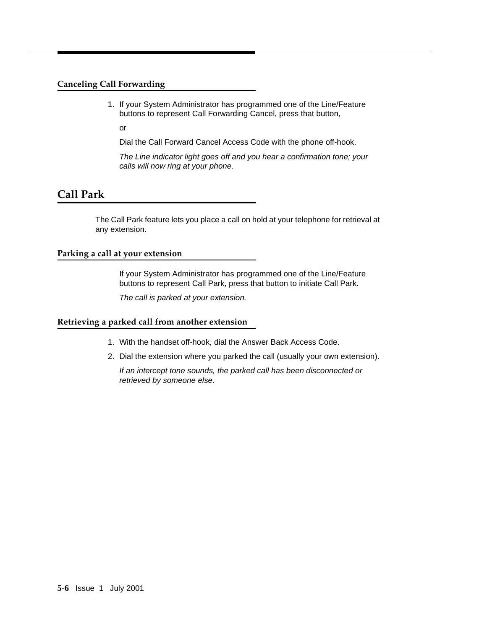### <span id="page-31-0"></span>**Canceling Call Forwarding**

1. If your System Administrator has programmed one of the Line/Feature buttons to represent Call Forwarding Cancel, press that button,

or

Dial the Call Forward Cancel Access Code with the phone off-hook.

The Line indicator light goes off and you hear a confirmation tone; your calls will now ring at your phone.

### <span id="page-31-1"></span>**Call Park**

The Call Park feature lets you place a call on hold at your telephone for retrieval at any extension.

### <span id="page-31-2"></span>**Parking a call at your extension**

If your System Administrator has programmed one of the Line/Feature buttons to represent Call Park, press that button to initiate Call Park.

The call is parked at your extension.

### <span id="page-31-3"></span>**Retrieving a parked call from another extension**

- 1. With the handset off-hook, dial the Answer Back Access Code.
- 2. Dial the extension where you parked the call (usually your own extension).

If an intercept tone sounds, the parked call has been disconnected or retrieved by someone else.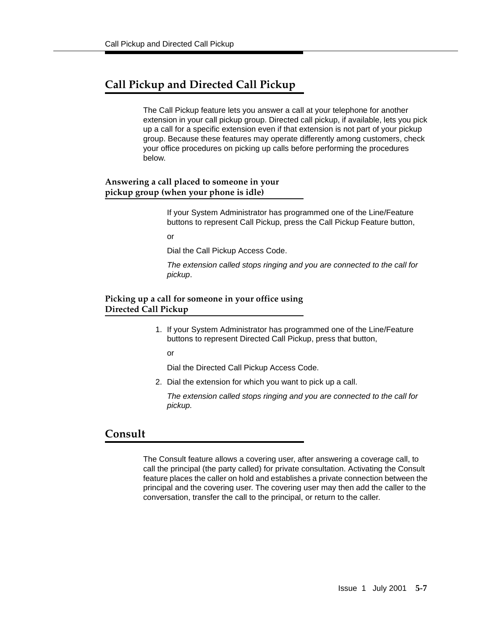### <span id="page-32-0"></span>**Call Pickup and Directed Call Pickup**

The Call Pickup feature lets you answer a call at your telephone for another extension in your call pickup group. Directed call pickup, if available, lets you pick up a call for a specific extension even if that extension is not part of your pickup group. Because these features may operate differently among customers, check your office procedures on picking up calls before performing the procedures below.

### <span id="page-32-1"></span>**Answering a call placed to someone in your pickup group (when your phone is idle)**

If your System Administrator has programmed one of the Line/Feature buttons to represent Call Pickup, press the Call Pickup Feature button,

or

Dial the Call Pickup Access Code.

The extension called stops ringing and you are connected to the call for pickup.

### <span id="page-32-2"></span>**Picking up a call for someone in your office using Directed Call Pickup**

1. If your System Administrator has programmed one of the Line/Feature buttons to represent Directed Call Pickup, press that button,

or

Dial the Directed Call Pickup Access Code.

2. Dial the extension for which you want to pick up a call.

The extension called stops ringing and you are connected to the call for pickup.

### <span id="page-32-3"></span>**Consult**

The Consult feature allows a covering user, after answering a coverage call, to call the principal (the party called) for private consultation. Activating the Consult feature places the caller on hold and establishes a private connection between the principal and the covering user. The covering user may then add the caller to the conversation, transfer the call to the principal, or return to the caller.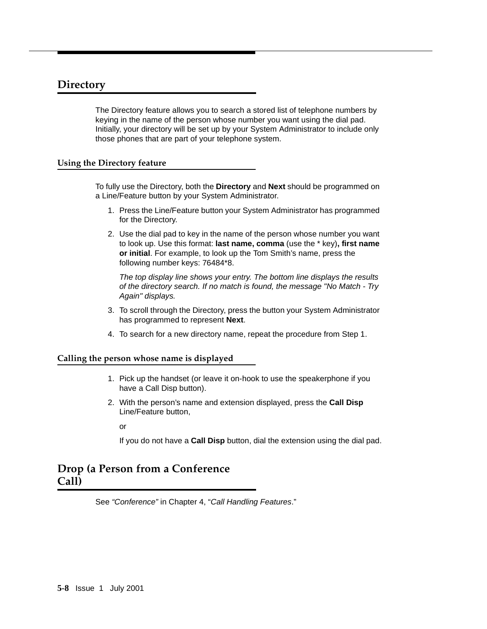### <span id="page-33-0"></span>**Directory**

The Directory feature allows you to search a stored list of telephone numbers by keying in the name of the person whose number you want using the dial pad. Initially, your directory will be set up by your System Administrator to include only those phones that are part of your telephone system.

### <span id="page-33-1"></span>**Using the Directory feature**

To fully use the Directory, both the **Directory** and **Next** should be programmed on a Line/Feature button by your System Administrator.

- 1. Press the Line/Feature button your System Administrator has programmed for the Directory.
- 2. Use the dial pad to key in the name of the person whose number you want to look up. Use this format: **last name, comma** (use the \* key)**, first name or initial**. For example, to look up the Tom Smith's name, press the following number keys: 76484\*8.

The top display line shows your entry. The bottom line displays the results of the directory search. If no match is found, the message "No Match - Try Again" displays.

- 3. To scroll through the Directory, press the button your System Administrator has programmed to represent **Next**.
- 4. To search for a new directory name, repeat the procedure from Step 1.

### <span id="page-33-2"></span>**Calling the person whose name is displayed**

- 1. Pick up the handset (or leave it on-hook to use the speakerphone if you have a Call Disp button).
- 2. With the person's name and extension displayed, press the **Call Disp**  Line/Feature button,

or

If you do not have a **Call Disp** button, dial the extension using the dial pad.

### <span id="page-33-3"></span>**Drop (a Person from a Conference Call)**

See "Conference" in Chapter 4, "Call Handling Features."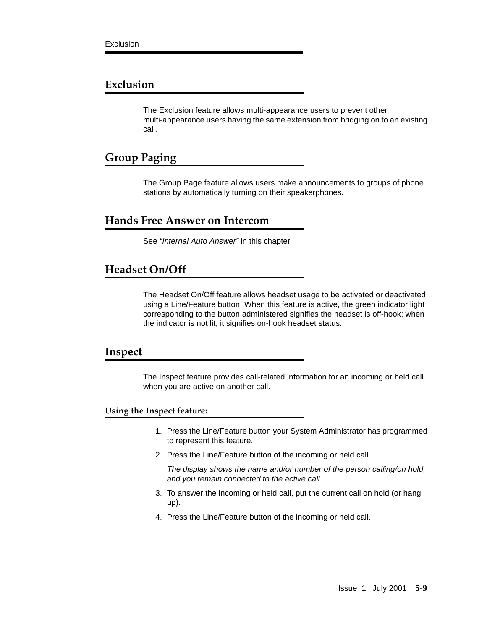### <span id="page-34-0"></span>**Exclusion**

The Exclusion feature allows multi-appearance users to prevent other multi-appearance users having the same extension from bridging on to an existing call.

### <span id="page-34-1"></span>**Group Paging**

The Group Page feature allows users make announcements to groups of phone stations by automatically turning on their speakerphones.

### <span id="page-34-2"></span>**Hands Free Answer on Intercom**

See "Internal Auto Answer" in this chapter.

### <span id="page-34-3"></span>**Headset On/Off**

The Headset On/Off feature allows headset usage to be activated or deactivated using a Line/Feature button. When this feature is active, the green indicator light corresponding to the button administered signifies the headset is off-hook; when the indicator is not lit, it signifies on-hook headset status.

### <span id="page-34-4"></span>**Inspect**

The Inspect feature provides call-related information for an incoming or held call when you are active on another call.

### <span id="page-34-5"></span>**Using the Inspect feature:**

- 1. Press the Line/Feature button your System Administrator has programmed to represent this feature.
- 2. Press the Line/Feature button of the incoming or held call.

The display shows the name and/or number of the person calling/on hold, and you remain connected to the active call.

- 3. To answer the incoming or held call, put the current call on hold (or hang up).
- 4. Press the Line/Feature button of the incoming or held call.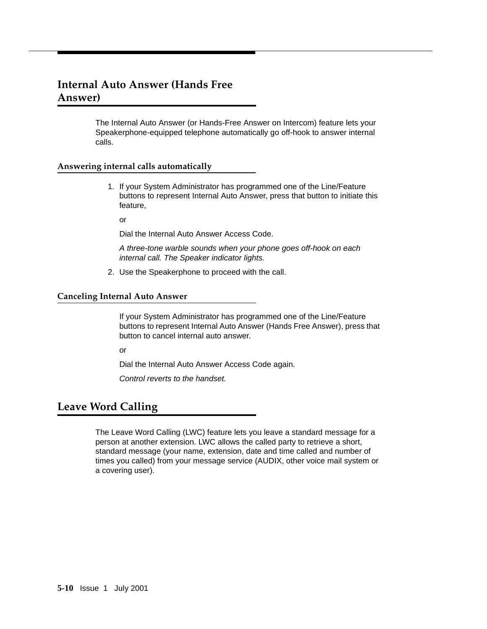### <span id="page-35-0"></span>**Internal Auto Answer (Hands Free Answer)**

The Internal Auto Answer (or Hands-Free Answer on Intercom) feature lets your Speakerphone-equipped telephone automatically go off-hook to answer internal calls.

### <span id="page-35-1"></span>**Answering internal calls automatically**

1. If your System Administrator has programmed one of the Line/Feature buttons to represent Internal Auto Answer, press that button to initiate this feature,

or

Dial the Internal Auto Answer Access Code.

A three-tone warble sounds when your phone goes off-hook on each internal call. The Speaker indicator lights.

2. Use the Speakerphone to proceed with the call.

### <span id="page-35-2"></span>**Canceling Internal Auto Answer**

If your System Administrator has programmed one of the Line/Feature buttons to represent Internal Auto Answer (Hands Free Answer), press that button to cancel internal auto answer.

or

Dial the Internal Auto Answer Access Code again.

Control reverts to the handset.

### <span id="page-35-3"></span>**Leave Word Calling**

The Leave Word Calling (LWC) feature lets you leave a standard message for a person at another extension. LWC allows the called party to retrieve a short, standard message (your name, extension, date and time called and number of times you called) from your message service (AUDIX, other voice mail system or a covering user).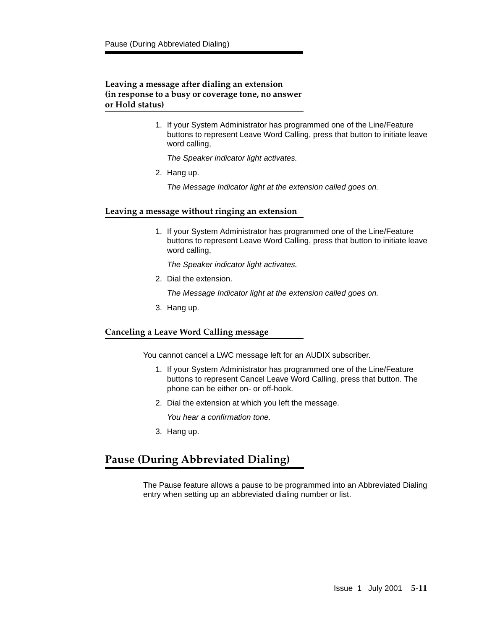### <span id="page-36-0"></span>**Leaving a message after dialing an extension (in response to a busy or coverage tone, no answer or Hold status)**

1. If your System Administrator has programmed one of the Line/Feature buttons to represent Leave Word Calling, press that button to initiate leave word calling,

The Speaker indicator light activates.

2. Hang up.

The Message Indicator light at the extension called goes on.

### <span id="page-36-1"></span>**Leaving a message without ringing an extension**

1. If your System Administrator has programmed one of the Line/Feature buttons to represent Leave Word Calling, press that button to initiate leave word calling,

The Speaker indicator light activates.

2. Dial the extension.

The Message Indicator light at the extension called goes on.

3. Hang up.

### <span id="page-36-2"></span>**Canceling a Leave Word Calling message**

You cannot cancel a LWC message left for an AUDIX subscriber.

- 1. If your System Administrator has programmed one of the Line/Feature buttons to represent Cancel Leave Word Calling, press that button. The phone can be either on- or off-hook.
- 2. Dial the extension at which you left the message.

You hear a confirmation tone.

3. Hang up.

### <span id="page-36-3"></span>**Pause (During Abbreviated Dialing)**

The Pause feature allows a pause to be programmed into an Abbreviated Dialing entry when setting up an abbreviated dialing number or list.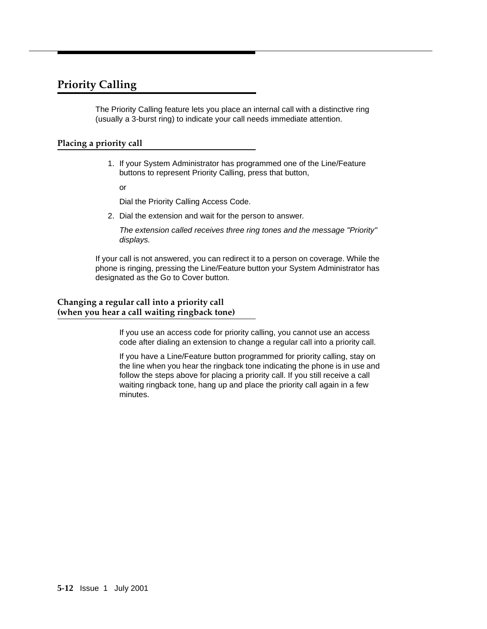### <span id="page-37-0"></span>**Priority Calling**

The Priority Calling feature lets you place an internal call with a distinctive ring (usually a 3-burst ring) to indicate your call needs immediate attention.

### <span id="page-37-1"></span>**Placing a priority call**

1. If your System Administrator has programmed one of the Line/Feature buttons to represent Priority Calling, press that button,

or

Dial the Priority Calling Access Code.

2. Dial the extension and wait for the person to answer.

The extension called receives three ring tones and the message "Priority" displays.

If your call is not answered, you can redirect it to a person on coverage. While the phone is ringing, pressing the Line/Feature button your System Administrator has designated as the Go to Cover button.

### <span id="page-37-2"></span>**Changing a regular call into a priority call (when you hear a call waiting ringback tone)**

If you use an access code for priority calling, you cannot use an access code after dialing an extension to change a regular call into a priority call.

If you have a Line/Feature button programmed for priority calling, stay on the line when you hear the ringback tone indicating the phone is in use and follow the steps above for placing a priority call. If you still receive a call waiting ringback tone, hang up and place the priority call again in a few minutes.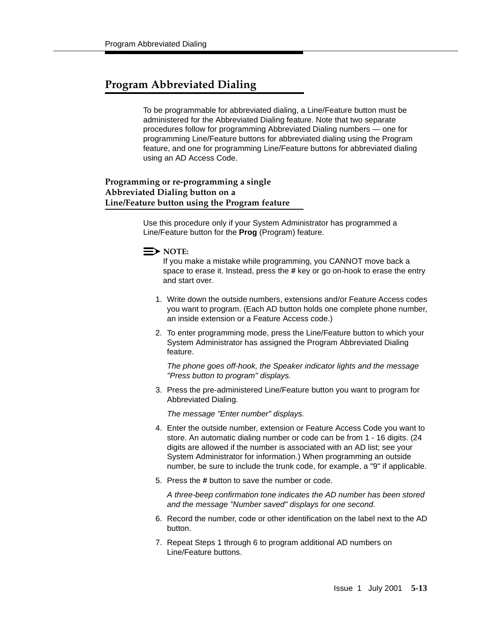### **Program Abbreviated Dialing**

<span id="page-38-0"></span>To be programmable for abbreviated dialing, a Line/Feature button must be administered for the Abbreviated Dialing feature. Note that two separate procedures follow for programming Abbreviated Dialing numbers — one for programming Line/Feature buttons for abbreviated dialing using the Program feature, and one for programming Line/Feature buttons for abbreviated dialing using an AD Access Code.

### **Programming or re-programming a single Abbreviated Dialing button on a Line/Feature button using the Program feature**

<span id="page-38-1"></span>Use this procedure only if your System Administrator has programmed a Line/Feature button for the **Prog** (Program) feature.

### $\sum$  NOTE:

If you make a mistake while programming, you CANNOT move back a space to erase it. Instead, press the **#** key or go on-hook to erase the entry and start over.

- 1. Write down the outside numbers, extensions and/or Feature Access codes you want to program. (Each AD button holds one complete phone number, an inside extension or a Feature Access code.)
- 2. To enter programming mode, press the Line/Feature button to which your System Administrator has assigned the Program Abbreviated Dialing feature.

The phone goes off-hook, the Speaker indicator lights and the message "Press button to program" displays.

3. Press the pre-administered Line/Feature button you want to program for Abbreviated Dialing.

The message "Enter number" displays.

- 4. Enter the outside number, extension or Feature Access Code you want to store. An automatic dialing number or code can be from 1 - 16 digits. (24 digits are allowed if the number is associated with an AD list; see your System Administrator for information.) When programming an outside number, be sure to include the trunk code, for example, a "9" if applicable.
- 5. Press the **#** button to save the number or code.

A three-beep confirmation tone indicates the AD number has been stored and the message "Number saved" displays for one second.

- 6. Record the number, code or other identification on the label next to the AD button.
- 7. Repeat Steps 1 through 6 to program additional AD numbers on Line/Feature buttons.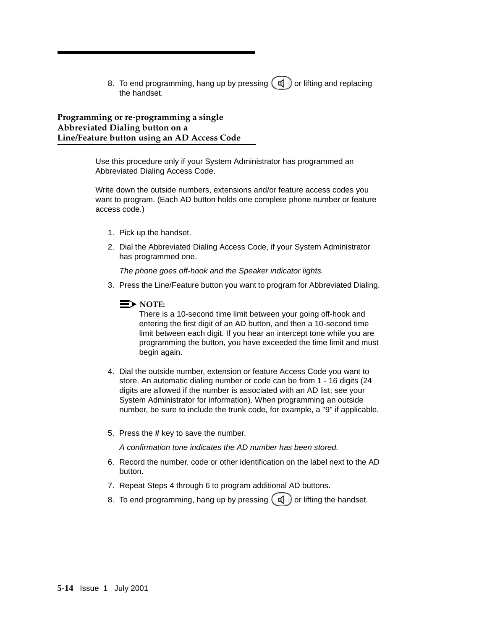8. To end programming, hang up by pressing  $\left(\begin{array}{c} \mathbb{q} \\ \mathbb{q} \end{array}\right)$  or lifting and replacing the handset.

### <span id="page-39-0"></span>**Programming or re-programming a single Abbreviated Dialing button on a Line/Feature button using an AD Access Code**

Use this procedure only if your System Administrator has programmed an Abbreviated Dialing Access Code.

Write down the outside numbers, extensions and/or feature access codes you want to program. (Each AD button holds one complete phone number or feature access code.)

- 1. Pick up the handset.
- 2. Dial the Abbreviated Dialing Access Code, if your System Administrator has programmed one.

The phone goes off-hook and the Speaker indicator lights.

3. Press the Line/Feature button you want to program for Abbreviated Dialing.



There is a 10-second time limit between your going off-hook and entering the first digit of an AD button, and then a 10-second time limit between each digit. If you hear an intercept tone while you are programming the button, you have exceeded the time limit and must begin again.

- 4. Dial the outside number, extension or feature Access Code you want to store. An automatic dialing number or code can be from 1 - 16 digits (24 digits are allowed if the number is associated with an AD list; see your System Administrator for information). When programming an outside number, be sure to include the trunk code, for example, a "9" if applicable.
- 5. Press the **#** key to save the number.

A confirmation tone indicates the AD number has been stored.

- 6. Record the number, code or other identification on the label next to the AD button.
- 7. Repeat Steps 4 through 6 to program additional AD buttons.
- 8. To end programming, hang up by pressing  $\left(\begin{array}{c} \mathbb{q} \\ \mathbb{q} \end{array}\right)$  or lifting the handset.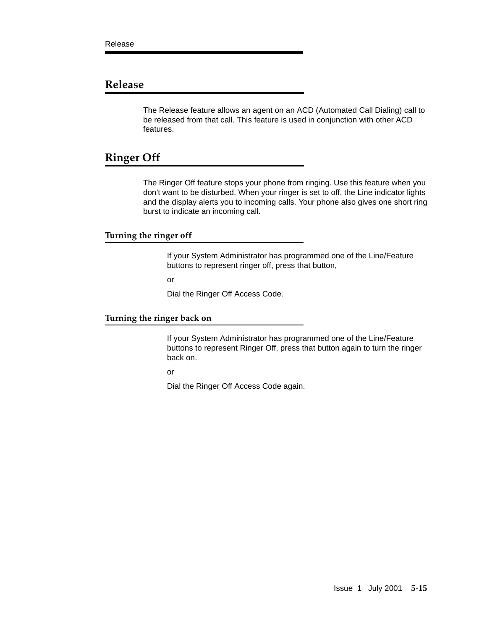### **Release**

<span id="page-40-0"></span>The Release feature allows an agent on an ACD (Automated Call Dialing) call to be released from that call. This feature is used in conjunction with other ACD features.

### **Ringer Off**

<span id="page-40-1"></span>The Ringer Off feature stops your phone from ringing. Use this feature when you don't want to be disturbed. When your ringer is set to off, the Line indicator lights and the display alerts you to incoming calls. Your phone also gives one short ring burst to indicate an incoming call.

### **Turning the ringer off**

<span id="page-40-2"></span>If your System Administrator has programmed one of the Line/Feature buttons to represent ringer off, press that button,

or

Dial the Ringer Off Access Code.

### **Turning the ringer back on**

<span id="page-40-3"></span>If your System Administrator has programmed one of the Line/Feature buttons to represent Ringer Off, press that button again to turn the ringer back on.

or

Dial the Ringer Off Access Code again.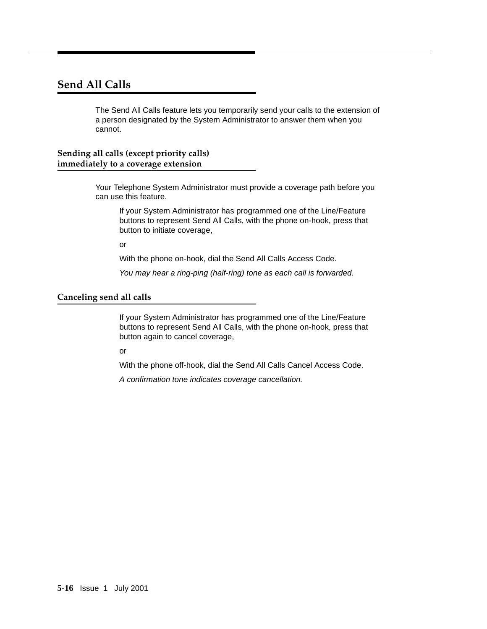### <span id="page-41-0"></span>**Send All Calls**

The Send All Calls feature lets you temporarily send your calls to the extension of a person designated by the System Administrator to answer them when you cannot.

<span id="page-41-1"></span>**Sending all calls (except priority calls) immediately to a coverage extension** 

> Your Telephone System Administrator must provide a coverage path before you can use this feature.

If your System Administrator has programmed one of the Line/Feature buttons to represent Send All Calls, with the phone on-hook, press that button to initiate coverage,

or

With the phone on-hook, dial the Send All Calls Access Code.

You may hear a ring-ping (half-ring) tone as each call is forwarded.

### <span id="page-41-2"></span>**Canceling send all calls**

If your System Administrator has programmed one of the Line/Feature buttons to represent Send All Calls, with the phone on-hook, press that button again to cancel coverage,

or

With the phone off-hook, dial the Send All Calls Cancel Access Code.

A confirmation tone indicates coverage cancellation.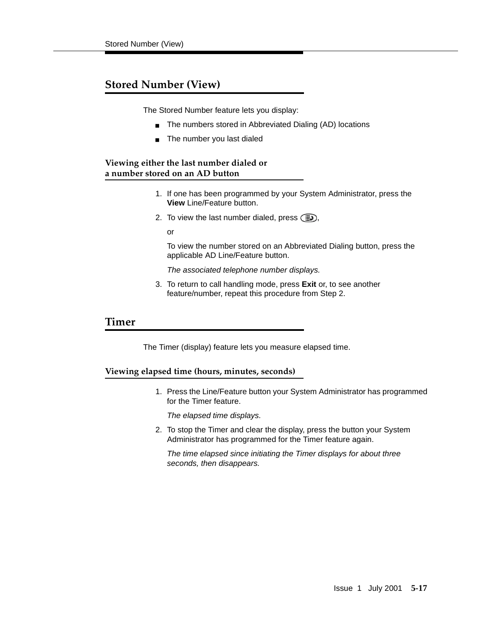### **Stored Number (View)**

<span id="page-42-0"></span>The Stored Number feature lets you display:

- The numbers stored in Abbreviated Dialing (AD) locations
- <span id="page-42-1"></span>■ The number you last dialed

### **Viewing either the last number dialed or a number stored on an AD button**

- 1. If one has been programmed by your System Administrator, press the **View** Line/Feature button.
- 2. To view the last number dialed, press  $\binom{m}{n}$ ,

or

To view the number stored on an Abbreviated Dialing button, press the applicable AD Line/Feature button.

The associated telephone number displays.

3. To return to call handling mode, press **Exit** or, to see another feature/number, repeat this procedure from Step 2.

### **Timer**

<span id="page-42-2"></span>The Timer (display) feature lets you measure elapsed time.

### **Viewing elapsed time (hours, minutes, seconds)**

<span id="page-42-3"></span>1. Press the Line/Feature button your System Administrator has programmed for the Timer feature.

The elapsed time displays.

2. To stop the Timer and clear the display, press the button your System Administrator has programmed for the Timer feature again.

The time elapsed since initiating the Timer displays for about three seconds, then disappears.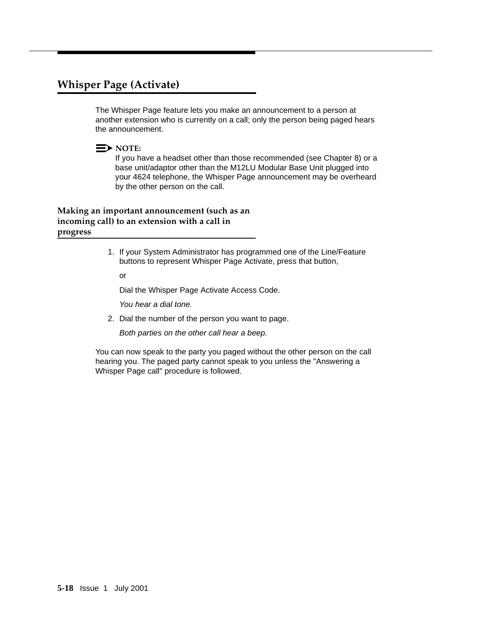### <span id="page-43-0"></span>**Whisper Page (Activate)**

The Whisper Page feature lets you make an announcement to a person at another extension who is currently on a call; only the person being paged hears the announcement.

### $\implies$  NOTE:

If you have a headset other than those recommended (see Chapter 8) or a base unit/adaptor other than the M12LU Modular Base Unit plugged into your 4624 telephone, the Whisper Page announcement may be overheard by the other person on the call.

### <span id="page-43-1"></span>**Making an important announcement (such as an incoming call) to an extension with a call in progress**

1. If your System Administrator has programmed one of the Line/Feature buttons to represent Whisper Page Activate, press that button,

or

Dial the Whisper Page Activate Access Code.

You hear a dial tone.

2. Dial the number of the person you want to page.

Both parties on the other call hear a beep.

You can now speak to the party you paged without the other person on the call hearing you. The paged party cannot speak to you unless the "Answering a Whisper Page call" procedure is followed.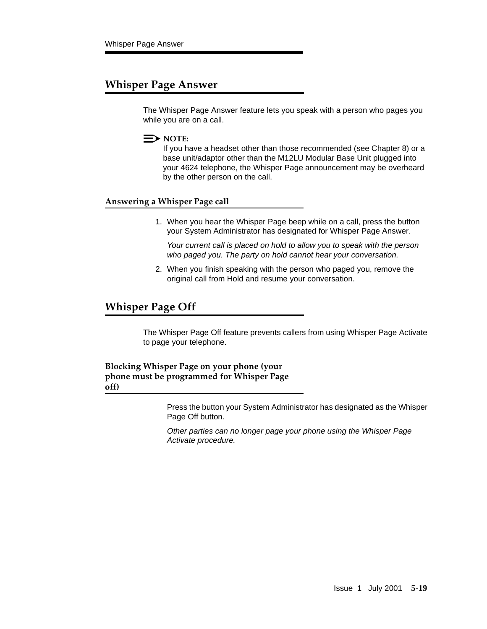### **Whisper Page Answer**

<span id="page-44-0"></span>The Whisper Page Answer feature lets you speak with a person who pages you while you are on a call.

### $\equiv$  note:

If you have a headset other than those recommended (see Chapter 8) or a base unit/adaptor other than the M12LU Modular Base Unit plugged into your 4624 telephone, the Whisper Page announcement may be overheard by the other person on the call.

### **Answering a Whisper Page call**

<span id="page-44-1"></span>1. When you hear the Whisper Page beep while on a call, press the button your System Administrator has designated for Whisper Page Answer.

Your current call is placed on hold to allow you to speak with the person who paged you. The party on hold cannot hear your conversation.

2. When you finish speaking with the person who paged you, remove the original call from Hold and resume your conversation.

### **Whisper Page Off**

<span id="page-44-3"></span><span id="page-44-2"></span>The Whisper Page Off feature prevents callers from using Whisper Page Activate to page your telephone.

**Blocking Whisper Page on your phone (your phone must be programmed for Whisper Page off)**

> Press the button your System Administrator has designated as the Whisper Page Off button.

Other parties can no longer page your phone using the Whisper Page Activate procedure.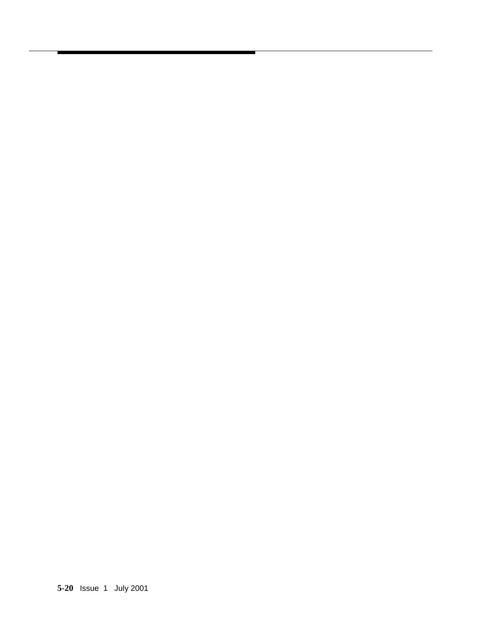**5-20** Issue 1 July 2001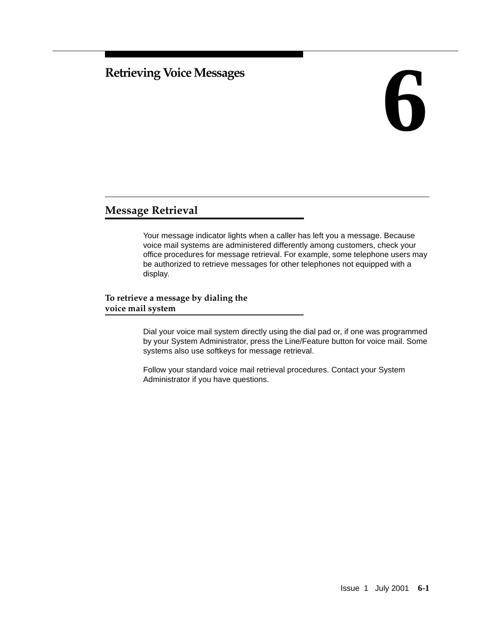# <span id="page-46-1"></span><span id="page-46-0"></span>Retrieving Voice Messages<br> **6 C**

### **Message Retrieval**

<span id="page-46-2"></span>Your message indicator lights when a caller has left you a message. Because voice mail systems are administered differently among customers, check your office procedures for message retrieval. For example, some telephone users may be authorized to retrieve messages for other telephones not equipped with a display.

**To retrieve a message by dialing the voice mail system** 

> <span id="page-46-3"></span>Dial your voice mail system directly using the dial pad or, if one was programmed by your System Administrator, press the Line/Feature button for voice mail. Some systems also use softkeys for message retrieval.

Follow your standard voice mail retrieval procedures. Contact your System Administrator if you have questions.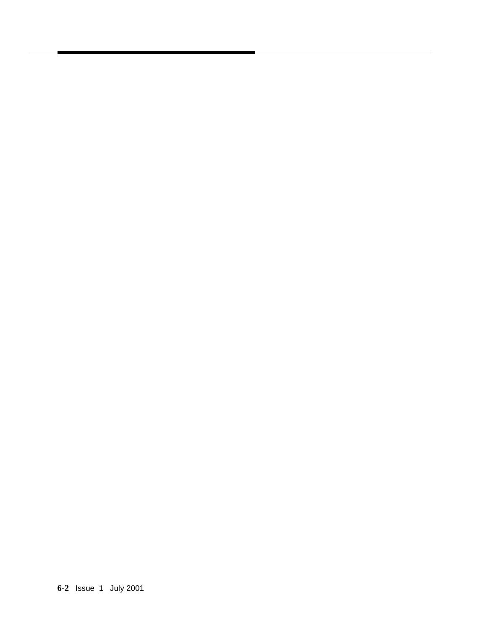**6-2** Issue 1 July 2001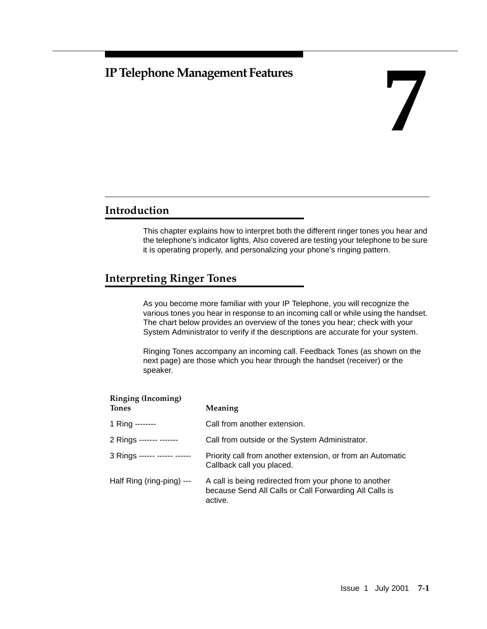# <span id="page-48-1"></span><span id="page-48-0"></span>**7 IP Telephone Management Features**

### <span id="page-48-2"></span>**Introduction**

This chapter explains how to interpret both the different ringer tones you hear and the telephone's indicator lights. Also covered are testing your telephone to be sure it is operating properly, and personalizing your phone's ringing pattern.

### <span id="page-48-3"></span>**Interpreting Ringer Tones**

As you become more familiar with your IP Telephone, you will recognize the various tones you hear in response to an incoming call or while using the handset. The chart below provides an overview of the tones you hear; check with your System Administrator to verify if the descriptions are accurate for your system.

Ringing Tones accompany an incoming call. Feedback Tones (as shown on the next page) are those which you hear through the handset (receiver) or the speaker.

| <b>Ringing (Incoming)</b><br><b>Tones</b> | <b>Meaning</b>                                                                                                             |
|-------------------------------------------|----------------------------------------------------------------------------------------------------------------------------|
| 1 Ring --------                           | Call from another extension.                                                                                               |
| 2 Rings ------- -------                   | Call from outside or the System Administrator.                                                                             |
| 3 Rings ------ ------ ------              | Priority call from another extension, or from an Automatic<br>Callback call you placed.                                    |
| Half Ring (ring-ping) ---                 | A call is being redirected from your phone to another<br>because Send All Calls or Call Forwarding All Calls is<br>active. |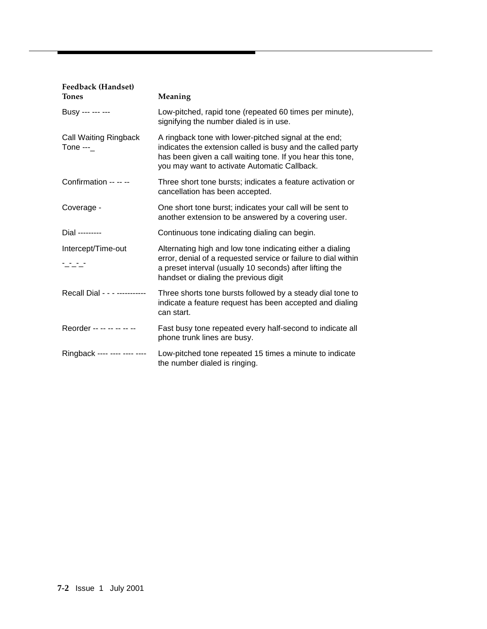| Feedback (Handset)<br><b>Tones</b> | Meaning                                                                                                                                                                                                                            |
|------------------------------------|------------------------------------------------------------------------------------------------------------------------------------------------------------------------------------------------------------------------------------|
| Busy --- --- ---                   | Low-pitched, rapid tone (repeated 60 times per minute),<br>signifying the number dialed is in use.                                                                                                                                 |
| Call Waiting Ringback<br>Tone $--$ | A ringback tone with lower-pitched signal at the end;<br>indicates the extension called is busy and the called party<br>has been given a call waiting tone. If you hear this tone,<br>you may want to activate Automatic Callback. |
| Confirmation -- -- --              | Three short tone bursts; indicates a feature activation or<br>cancellation has been accepted.                                                                                                                                      |
| Coverage -                         | One short tone burst; indicates your call will be sent to<br>another extension to be answered by a covering user.                                                                                                                  |
| Dial ---------                     | Continuous tone indicating dialing can begin.                                                                                                                                                                                      |
| Intercept/Time-out<br>أستستست      | Alternating high and low tone indicating either a dialing<br>error, denial of a requested service or failure to dial within<br>a preset interval (usually 10 seconds) after lifting the<br>handset or dialing the previous digit   |
| Recall Dial - - - -----------      | Three shorts tone bursts followed by a steady dial tone to<br>indicate a feature request has been accepted and dialing<br>can start.                                                                                               |
| Reorder -- -- -- -- -- --          | Fast busy tone repeated every half-second to indicate all<br>phone trunk lines are busy.                                                                                                                                           |
| Ringback ---- ---- ---- ----       | Low-pitched tone repeated 15 times a minute to indicate<br>the number dialed is ringing.                                                                                                                                           |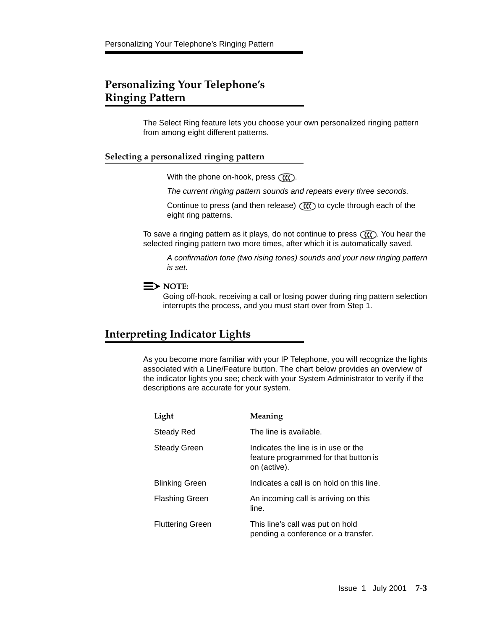### <span id="page-50-0"></span>**Personalizing Your Telephone's Ringing Pattern**

The Select Ring feature lets you choose your own personalized ringing pattern from among eight different patterns.

### <span id="page-50-1"></span>**Selecting a personalized ringing pattern**

With the phone on-hook, press  $(m)$ .

The current ringing pattern sounds and repeats every three seconds.

Continue to press (and then release)  $\alpha$  to cycle through each of the eight ring patterns.

To save a ringing pattern as it plays, do not continue to press  $\binom{1}{k}$ . You hear the selected ringing pattern two more times, after which it is automatically saved.

A confirmation tone (two rising tones) sounds and your new ringing pattern is set.

### $\implies$  note:

Going off-hook, receiving a call or losing power during ring pattern selection interrupts the process, and you must start over from Step 1.

### <span id="page-50-2"></span>**Interpreting Indicator Lights**

As you become more familiar with your IP Telephone, you will recognize the lights associated with a Line/Feature button. The chart below provides an overview of the indicator lights you see; check with your System Administrator to verify if the descriptions are accurate for your system.

| Light                   | Meaning                                                                                      |
|-------------------------|----------------------------------------------------------------------------------------------|
| Steady Red              | The line is available.                                                                       |
| Steady Green            | Indicates the line is in use or the<br>feature programmed for that button is<br>on (active). |
| <b>Blinking Green</b>   | Indicates a call is on hold on this line.                                                    |
| Flashing Green          | An incoming call is arriving on this<br>line.                                                |
| <b>Fluttering Green</b> | This line's call was put on hold<br>pending a conference or a transfer.                      |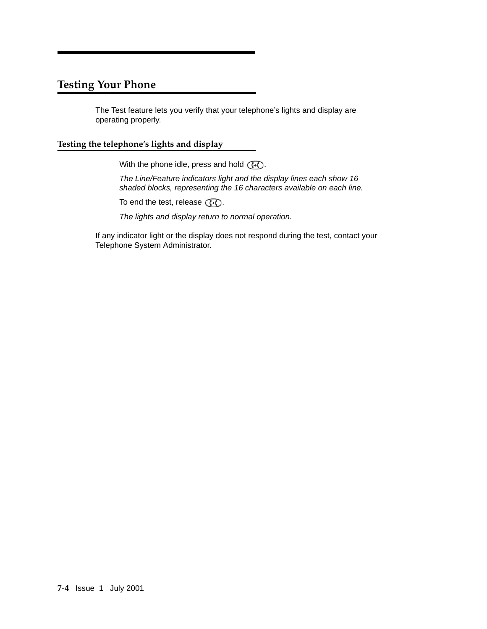### <span id="page-51-0"></span>**Testing Your Phone**

The Test feature lets you verify that your telephone's lights and display are operating properly.

### <span id="page-51-1"></span>**Testing the telephone's lights and display**

With the phone idle, press and hold  $\circled{r}$ .

The Line/Feature indicators light and the display lines each show 16 shaded blocks, representing the 16 characters available on each line.

To end the test, release  $\bigcirc$ 

The lights and display return to normal operation.

If any indicator light or the display does not respond during the test, contact your Telephone System Administrator.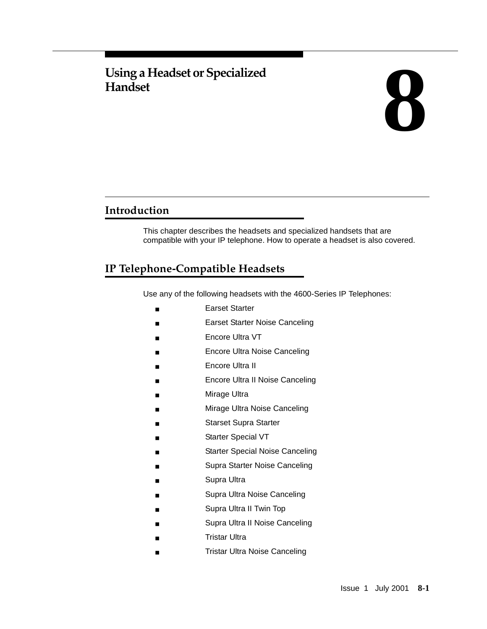# <span id="page-52-1"></span><span id="page-52-0"></span>**8** Using a Headset or Specialized **Handset Handset**

### <span id="page-52-2"></span>**Introduction**

This chapter describes the headsets and specialized handsets that are compatible with your IP telephone. How to operate a headset is also covered.

### <span id="page-52-3"></span>**IP Telephone-Compatible Headsets**

Use any of the following headsets with the 4600-Series IP Telephones:

- Earset Starter
- **Earset Starter Noise Canceling**
- Encore Ultra VT
- Encore Ultra Noise Canceling
- **Encore Ultra II**
- **Encore Ultra II Noise Canceling**
- **Mirage Ultra**
- **Mirage Ultra Noise Canceling**
- **Starset Supra Starter**
- Starter Special VT
- **Starter Special Noise Canceling**
- Supra Starter Noise Canceling
- Supra Ultra
- Supra Ultra Noise Canceling
- Supra Ultra II Twin Top
- Supra Ultra II Noise Canceling
- **Tristar Ultra**
- **Tristar Ultra Noise Canceling**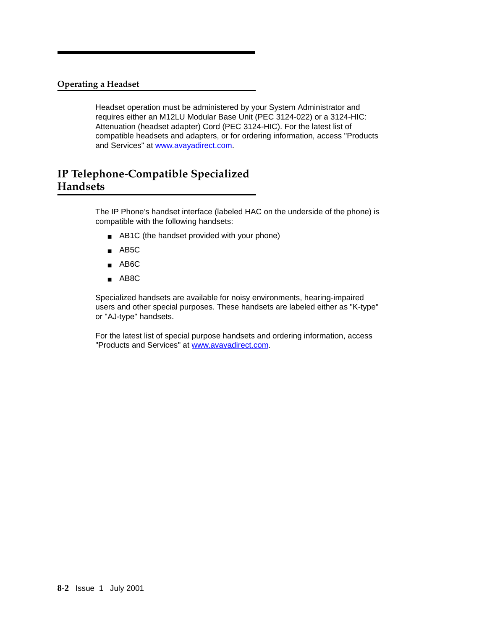### <span id="page-53-0"></span>**Operating a Headset**

Headset operation must be administered by your System Administrator and requires either an M12LU Modular Base Unit (PEC 3124-022) or a 3124-HIC: Attenuation (headset adapter) Cord (PEC 3124-HIC). For the latest list of compatible headsets and adapters, or for ordering information, access "Products and Services" at www.avayadirect.com.

### <span id="page-53-1"></span>**IP Telephone-Compatible Specialized Handsets**

The IP Phone's handset interface (labeled HAC on the underside of the phone) is compatible with the following handsets:

- AB1C (the handset provided with your phone)
- AB5C
- AB6C
- AB<sub>8</sub>C

Specialized handsets are available for noisy environments, hearing-impaired users and other special purposes. These handsets are labeled either as "K-type" or "AJ-type" handsets.

For the latest list of special purpose handsets and ordering information, access "Products and Services" at www.avayadirect.com.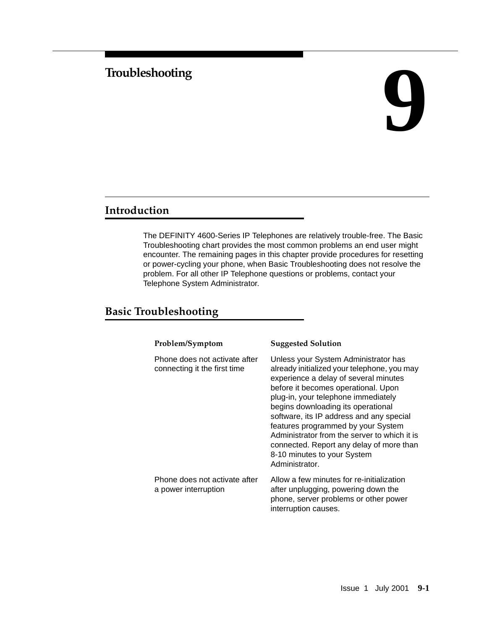# <span id="page-54-1"></span><span id="page-54-0"></span>**9 Troubleshooting**

### <span id="page-54-2"></span>**Introduction**

The DEFINITY 4600-Series IP Telephones are relatively trouble-free. The Basic Troubleshooting chart provides the most common problems an end user might encounter. The remaining pages in this chapter provide procedures for resetting or power-cycling your phone, when Basic Troubleshooting does not resolve the problem. For all other IP Telephone questions or problems, contact your Telephone System Administrator.

### <span id="page-54-3"></span>**Basic Troubleshooting**

| Problem/Symptom                                               | <b>Suggested Solution</b>                                                                                                                                                                                                                                                                                                                                                                                                                                                       |
|---------------------------------------------------------------|---------------------------------------------------------------------------------------------------------------------------------------------------------------------------------------------------------------------------------------------------------------------------------------------------------------------------------------------------------------------------------------------------------------------------------------------------------------------------------|
| Phone does not activate after<br>connecting it the first time | Unless your System Administrator has<br>already initialized your telephone, you may<br>experience a delay of several minutes<br>before it becomes operational. Upon<br>plug-in, your telephone immediately<br>begins downloading its operational<br>software, its IP address and any special<br>features programmed by your System<br>Administrator from the server to which it is<br>connected. Report any delay of more than<br>8-10 minutes to your System<br>Administrator. |
| Phone does not activate after<br>a power interruption         | Allow a few minutes for re-initialization<br>after unplugging, powering down the<br>phone, server problems or other power<br>interruption causes.                                                                                                                                                                                                                                                                                                                               |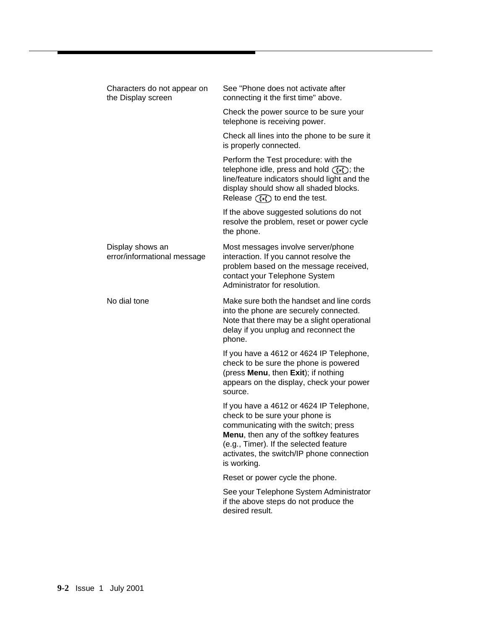| Characters do not appear on<br>the Display screen | See "Phone does not activate after<br>connecting it the first time" above.                                                                                                                                                                                         |
|---------------------------------------------------|--------------------------------------------------------------------------------------------------------------------------------------------------------------------------------------------------------------------------------------------------------------------|
|                                                   | Check the power source to be sure your<br>telephone is receiving power.                                                                                                                                                                                            |
|                                                   | Check all lines into the phone to be sure it<br>is properly connected.                                                                                                                                                                                             |
|                                                   | Perform the Test procedure: with the<br>telephone idle, press and hold $\mathbb{Q}$ ; the<br>line/feature indicators should light and the<br>display should show all shaded blocks.<br>Release $\bigcirc$ to end the test.                                         |
|                                                   | If the above suggested solutions do not<br>resolve the problem, reset or power cycle<br>the phone.                                                                                                                                                                 |
| Display shows an<br>error/informational message   | Most messages involve server/phone<br>interaction. If you cannot resolve the<br>problem based on the message received,<br>contact your Telephone System<br>Administrator for resolution.                                                                           |
| No dial tone                                      | Make sure both the handset and line cords<br>into the phone are securely connected.<br>Note that there may be a slight operational<br>delay if you unplug and reconnect the<br>phone.                                                                              |
|                                                   | If you have a 4612 or 4624 IP Telephone,<br>check to be sure the phone is powered<br>(press Menu, then Exit); if nothing<br>appears on the display, check your power<br>source.                                                                                    |
|                                                   | If you have a 4612 or 4624 IP Telephone,<br>check to be sure your phone is<br>communicating with the switch; press<br>Menu, then any of the softkey features<br>(e.g., Timer). If the selected feature<br>activates, the switch/IP phone connection<br>is working. |
|                                                   | Reset or power cycle the phone.                                                                                                                                                                                                                                    |
|                                                   | See your Telephone System Administrator<br>if the above steps do not produce the<br>desired result.                                                                                                                                                                |
|                                                   |                                                                                                                                                                                                                                                                    |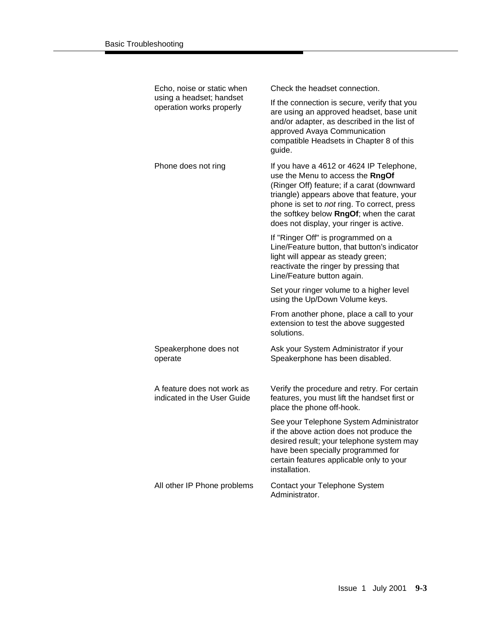| Echo, noise or static when                                | Check the headset connection.                                                                                                                                                                                                                                                                                  |
|-----------------------------------------------------------|----------------------------------------------------------------------------------------------------------------------------------------------------------------------------------------------------------------------------------------------------------------------------------------------------------------|
| using a headset; handset<br>operation works properly      | If the connection is secure, verify that you<br>are using an approved headset, base unit<br>and/or adapter, as described in the list of<br>approved Avaya Communication<br>compatible Headsets in Chapter 8 of this<br>guide.                                                                                  |
| Phone does not ring                                       | If you have a 4612 or 4624 IP Telephone,<br>use the Menu to access the RngOf<br>(Ringer Off) feature; if a carat (downward<br>triangle) appears above that feature, your<br>phone is set to not ring. To correct, press<br>the softkey below RngOf; when the carat<br>does not display, your ringer is active. |
|                                                           | If "Ringer Off" is programmed on a<br>Line/Feature button, that button's indicator<br>light will appear as steady green;<br>reactivate the ringer by pressing that<br>Line/Feature button again.                                                                                                               |
|                                                           | Set your ringer volume to a higher level<br>using the Up/Down Volume keys.                                                                                                                                                                                                                                     |
|                                                           | From another phone, place a call to your<br>extension to test the above suggested<br>solutions.                                                                                                                                                                                                                |
| Speakerphone does not<br>operate                          | Ask your System Administrator if your<br>Speakerphone has been disabled.                                                                                                                                                                                                                                       |
| A feature does not work as<br>indicated in the User Guide | Verify the procedure and retry. For certain<br>features, you must lift the handset first or<br>place the phone off-hook.                                                                                                                                                                                       |
|                                                           | See your Telephone System Administrator<br>if the above action does not produce the<br>desired result; your telephone system may<br>have been specially programmed for<br>certain features applicable only to your<br>installation.                                                                            |
| All other IP Phone problems                               | Contact your Telephone System<br>Administrator.                                                                                                                                                                                                                                                                |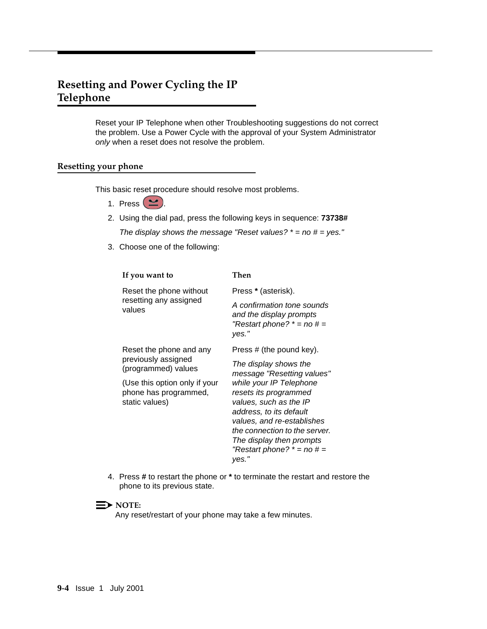### <span id="page-57-0"></span>**Resetting and Power Cycling the IP Telephone**

Reset your IP Telephone when other Troubleshooting suggestions do not correct the problem. Use a Power Cycle with the approval of your System Administrator only when a reset does not resolve the problem.

### <span id="page-57-1"></span>**Resetting your phone**

This basic reset procedure should resolve most problems.

- 1. Press  $($
- 2. Using the dial pad, press the following keys in sequence: **73738#** The display shows the message "Reset values?  $* = no # = yes."$
- 3. Choose one of the following:

| If you want to                                                           | Then                                                                                                                                                                                                                                                                                              |
|--------------------------------------------------------------------------|---------------------------------------------------------------------------------------------------------------------------------------------------------------------------------------------------------------------------------------------------------------------------------------------------|
| Reset the phone without                                                  | Press * (asterisk).                                                                                                                                                                                                                                                                               |
| resetting any assigned<br>values                                         | A confirmation tone sounds<br>and the display prompts<br>"Restart phone? $* = no \# =$<br>yes."                                                                                                                                                                                                   |
| Reset the phone and any                                                  | Press # (the pound key).                                                                                                                                                                                                                                                                          |
| previously assigned<br>(programmed) values                               | The display shows the<br>message "Resetting values"<br>while your IP Telephone<br>resets its programmed<br>values, such as the IP<br>address, to its default<br>values, and re-establishes<br>the connection to the server.<br>The display then prompts<br>"Restart phone? $* = no \# =$<br>ves." |
| (Use this option only if your<br>phone has programmed,<br>static values) |                                                                                                                                                                                                                                                                                                   |

4. Press **#** to restart the phone or **\*** to terminate the restart and restore the phone to its previous state.

### $\Rightarrow$  NOTE:

Any reset/restart of your phone may take a few minutes.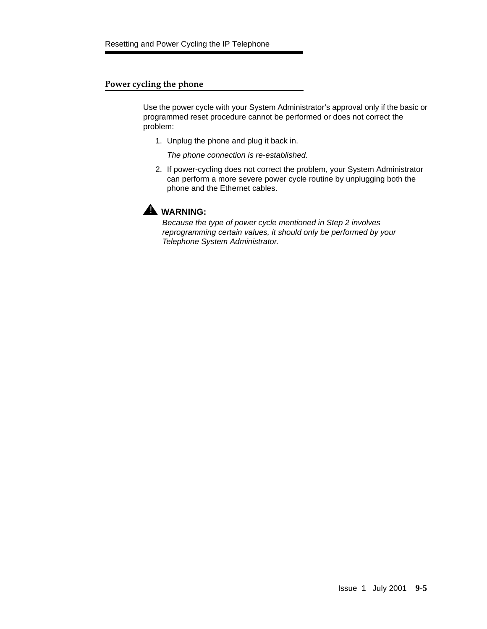### <span id="page-58-0"></span>**Power cycling the phone**

Use the power cycle with your System Administrator's approval only if the basic or programmed reset procedure cannot be performed or does not correct the problem:

1. Unplug the phone and plug it back in.

The phone connection is re-established.

2. If power-cycling does not correct the problem, your System Administrator can perform a more severe power cycle routine by unplugging both the phone and the Ethernet cables.



Because the type of power cycle mentioned in Step 2 involves reprogramming certain values, it should only be performed by your Telephone System Administrator.